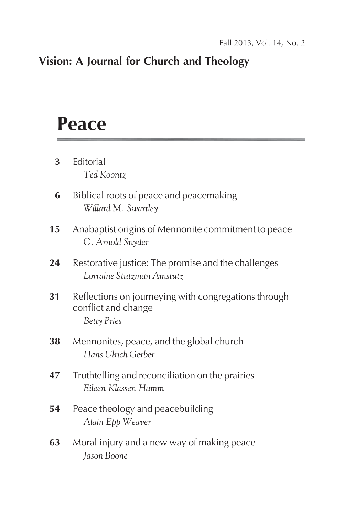# **Vision: A Journal for Church and Theology**

# **Peace**

- **3** Editorial *Ted Koontz*
- **6** Biblical roots of peace and peacemaking *Willard M. Swartley*
- **15** Anabaptist origins of Mennonite commitment to peace *C. Arnold Snyder*
- **24** Restorative justice: The promise and the challenges *Lorraine Stutzman Amstutz*
- **31** Reflections on journeying with congregations through conflict and change *Betty Pries*
- **38** Mennonites, peace, and the global church *Hans Ulrich Gerber*
- **47** Truthtelling and reconciliation on the prairies *Eileen Klassen Hamm*
- **54** Peace theology and peacebuilding *Alain Epp Weaver*
- **63** Moral injury and a new way of making peace *Jason Boone*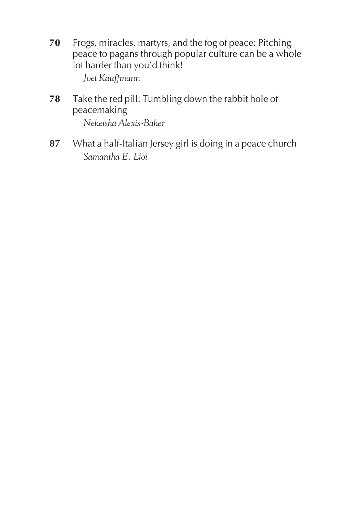- **70** Frogs, miracles, martyrs, and the fog of peace: Pitching peace to pagans through popular culture can be a whole lot harder than you'd think! *Joel Kauffmann*
- **78** Take the red pill: Tumbling down the rabbit hole of peacemaking *Nekeisha Alexis-Baker*
- **87** What a half-Italian Jersey girl is doing in a peace church *Samantha E. Lioi*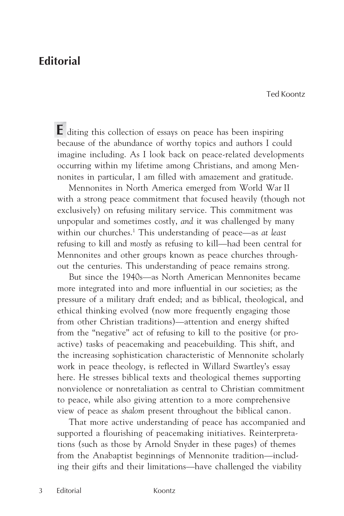# **Editorial**

Ted Koontz

**E** diting this collection of essays on peace has been inspiring because of the abundance of worthy topics and authors I could imagine including. As I look back on peace-related developments occurring within my lifetime among Christians, and among Mennonites in particular, I am filled with amazement and gratitude.

Mennonites in North America emerged from World War II with a strong peace commitment that focused heavily (though not exclusively) on refusing military service. This commitment was unpopular and sometimes costly, *and* it was challenged by many within our churches.<sup>1</sup> This understanding of peace—as *at least* refusing to kill and *mostly* as refusing to kill—had been central for Mennonites and other groups known as peace churches throughout the centuries. This understanding of peace remains strong.

But since the 1940s—as North American Mennonites became more integrated into and more influential in our societies; as the pressure of a military draft ended; and as biblical, theological, and ethical thinking evolved (now more frequently engaging those from other Christian traditions)—attention and energy shifted from the "negative" act of refusing to kill to the positive (or proactive) tasks of peacemaking and peacebuilding. This shift, and the increasing sophistication characteristic of Mennonite scholarly work in peace theology, is reflected in Willard Swartley's essay here. He stresses biblical texts and theological themes supporting nonviolence or nonretaliation as central to Christian commitment to peace, while also giving attention to a more comprehensive view of peace as *shalom* present throughout the biblical canon*.*

That more active understanding of peace has accompanied and supported a flourishing of peacemaking initiatives. Reinterpretations (such as those by Arnold Snyder in these pages) of themes from the Anabaptist beginnings of Mennonite tradition—including their gifts and their limitations—have challenged the viability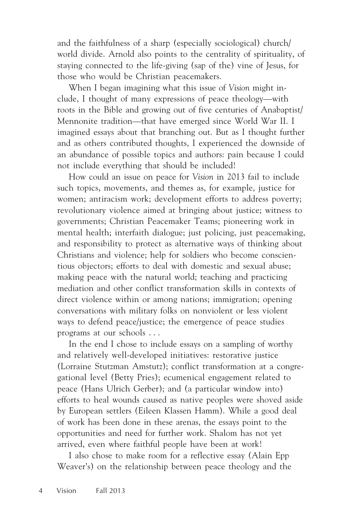and the faithfulness of a sharp (especially sociological) church/ world divide. Arnold also points to the centrality of spirituality, of staying connected to the life-giving (sap of the) vine of Jesus, for those who would be Christian peacemakers.

When I began imagining what this issue of *Vision* might include, I thought of many expressions of peace theology—with roots in the Bible and growing out of five centuries of Anabaptist/ Mennonite tradition—that have emerged since World War II. I imagined essays about that branching out. But as I thought further and as others contributed thoughts, I experienced the downside of an abundance of possible topics and authors: pain because I could not include everything that should be included!

How could an issue on peace for *Vision* in 2013 fail to include such topics, movements, and themes as, for example, justice for women; antiracism work; development efforts to address poverty; revolutionary violence aimed at bringing about justice; witness to governments; Christian Peacemaker Teams; pioneering work in mental health; interfaith dialogue; just policing, just peacemaking, and responsibility to protect as alternative ways of thinking about Christians and violence; help for soldiers who become conscientious objectors; efforts to deal with domestic and sexual abuse; making peace with the natural world; teaching and practicing mediation and other conflict transformation skills in contexts of direct violence within or among nations; immigration; opening conversations with military folks on nonviolent or less violent ways to defend peace/justice; the emergence of peace studies programs at our schools . . .

In the end I chose to include essays on a sampling of worthy and relatively well-developed initiatives: restorative justice (Lorraine Stutzman Amstutz); conflict transformation at a congregational level (Betty Pries); ecumenical engagement related to peace (Hans Ulrich Gerber); and (a particular window into) efforts to heal wounds caused as native peoples were shoved aside by European settlers (Eileen Klassen Hamm). While a good deal of work has been done in these arenas, the essays point to the opportunities and need for further work. Shalom has not yet arrived, even where faithful people have been at work!

I also chose to make room for a reflective essay (Alain Epp Weaver's) on the relationship between peace theology and the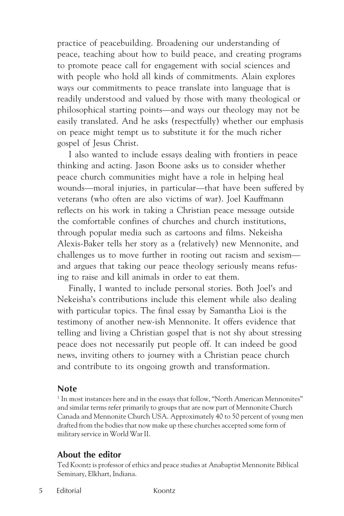practice of peacebuilding. Broadening our understanding of peace, teaching about how to build peace, and creating programs to promote peace call for engagement with social sciences and with people who hold all kinds of commitments. Alain explores ways our commitments to peace translate into language that is readily understood and valued by those with many theological or philosophical starting points—and ways our theology may not be easily translated. And he asks (respectfully) whether our emphasis on peace might tempt us to substitute it for the much richer gospel of Jesus Christ.

I also wanted to include essays dealing with frontiers in peace thinking and acting. Jason Boone asks us to consider whether peace church communities might have a role in helping heal wounds—moral injuries, in particular—that have been suffered by veterans (who often are also victims of war). Joel Kauffmann reflects on his work in taking a Christian peace message outside the comfortable confines of churches and church institutions, through popular media such as cartoons and films. Nekeisha Alexis-Baker tells her story as a (relatively) new Mennonite, and challenges us to move further in rooting out racism and sexism and argues that taking our peace theology seriously means refusing to raise and kill animals in order to eat them.

Finally, I wanted to include personal stories. Both Joel's and Nekeisha's contributions include this element while also dealing with particular topics. The final essay by Samantha Lioi is the testimony of another new-ish Mennonite. It offers evidence that telling and living a Christian gospel that is not shy about stressing peace does not necessarily put people off. It can indeed be good news, inviting others to journey with a Christian peace church and contribute to its ongoing growth and transformation.

#### **Note**

<sup>1</sup> In most instances here and in the essays that follow, "North American Mennonites" and similar terms refer primarily to groups that are now part of Mennonite Church Canada and Mennonite Church USA. Approximately 40 to 50 percent of young men drafted from the bodies that now make up these churches accepted some form of military service in World War II.

## **About the editor**

Ted Koontz is professor of ethics and peace studies at Anabaptist Mennonite Biblical Seminary, Elkhart, Indiana.

5 Editorial Koontz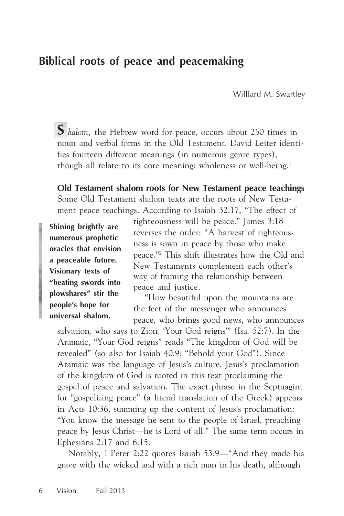# **Biblical roots of peace and peacemaking**

Willlard M. Swartley

**S** *halom,* the Hebrew word for peace, occurs about 250 times in noun and verbal forms in the Old Testament. David Leiter identifies fourteen different meanings (in numerous genre types), though all relate to its core meaning: wholeness or well-being.1

**Old Testament shalom roots for New Testament peace teachings** Some Old Testament shalom texts are the roots of New Testament peace teachings. According to Isaiah 32:17, "The effect of

**Shining brightly are numerous prophetic oracles that envision a peaceable future. Visionary texts of "beating swords into plowshares" stir the people's hope for universal shalom.**

righteousness will be peace." James 3:18 reverses the order: "A harvest of righteousness is sown in peace by those who make peace."<sup>2</sup> This shift illustrates how the Old and New Testaments complement each other's way of framing the relationship between peace and justice.

"How beautiful upon the mountains are the feet of the messenger who announces peace, who brings good news, who announces

salvation, who says to Zion, 'Your God reigns'" (Isa. 52:7). In the Aramaic, "Your God reigns" reads "The kingdom of God will be revealed" (so also for Isaiah 40:9: "Behold your God"). Since Aramaic was the language of Jesus's culture, Jesus's proclamation of the kingdom of God is rooted in this text proclaiming the gospel of peace and salvation. The exact phrase in the Septuagint for "gospelizing peace" (a literal translation of the Greek) appears in Acts 10:36, summing up the content of Jesus's proclamation: "You know the message he sent to the people of Israel, preaching peace by Jesus Christ—he is Lord of all." The same term occurs in Ephesians 2:17 and 6:15.

Notably, 1 Peter 2:22 quotes Isaiah 53:9—"And they made his grave with the wicked and with a rich man in his death, although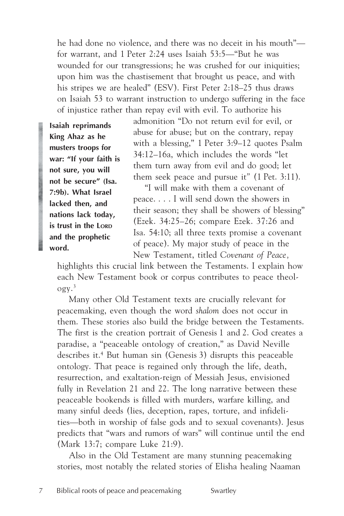he had done no violence, and there was no deceit in his mouth" for warrant, and 1 Peter 2:24 uses Isaiah 53:5—"But he was wounded for our transgressions; he was crushed for our iniquities; upon him was the chastisement that brought us peace, and with his stripes we are healed" (ESV). First Peter 2:18–25 thus draws on Isaiah 53 to warrant instruction to undergo suffering in the face of injustice rather than repay evil with evil. To authorize his

**Isaiah reprimands King Ahaz as he musters troops for war: "If your faith is not sure, you will not be secure" (Isa. 7:9b). What Israel lacked then, and nations lack today, is trust in the LORD and the prophetic word.**

admonition "Do not return evil for evil, or abuse for abuse; but on the contrary, repay with a blessing," 1 Peter 3:9–12 quotes Psalm 34:12–16a, which includes the words "let them turn away from evil and do good; let them seek peace and pursue it*"* (1 Pet. 3:11).

"I will make with them a covenant of peace. . . . I will send down the showers in their season; they shall be showers of blessing" (Ezek. 34:25–26; compare Ezek. 37:26 and Isa. 54:10; all three texts promise a covenant of peace). My major study of peace in the New Testament, titled *Covenant of Peace,*

highlights this crucial link between the Testaments. I explain how each New Testament book or corpus contributes to peace theol- $Ogy.<sup>3</sup>$ 

Many other Old Testament texts are crucially relevant for peacemaking, even though the word *shalom* does not occur in them. These stories also build the bridge between the Testaments. The first is the creation portrait of Genesis 1 and 2. God creates a paradise, a "peaceable ontology of creation," as David Neville describes it.4 But human sin (Genesis 3) disrupts this peaceable ontology. That peace is regained only through the life, death, resurrection, and exaltation-reign of Messiah Jesus, envisioned fully in Revelation 21 and 22. The long narrative between these peaceable bookends is filled with murders, warfare killing, and many sinful deeds (lies, deception, rapes, torture, and infidelities—both in worship of false gods and to sexual covenants). Jesus predicts that "wars and rumors of wars" will continue until the end (Mark 13:7; compare Luke 21:9).

Also in the Old Testament are many stunning peacemaking stories, most notably the related stories of Elisha healing Naaman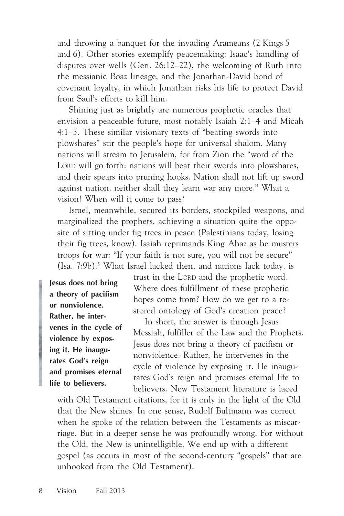and throwing a banquet for the invading Arameans (2 Kings 5 and 6). Other stories exemplify peacemaking: Isaac's handling of disputes over wells (Gen. 26:12–22), the welcoming of Ruth into the messianic Boaz lineage, and the Jonathan-David bond of covenant loyalty, in which Jonathan risks his life to protect David from Saul's efforts to kill him.

Shining just as brightly are numerous prophetic oracles that envision a peaceable future, most notably Isaiah 2:1–4 and Micah 4:1–5. These similar visionary texts of "beating swords into plowshares" stir the people's hope for universal shalom. Many nations will stream to Jerusalem, for from Zion the "word of the LORD will go forth: nations will beat their swords into plowshares, and their spears into pruning hooks. Nation shall not lift up sword against nation, neither shall they learn war any more." What a vision! When will it come to pass?

Israel, meanwhile, secured its borders, stockpiled weapons, and marginalized the prophets, achieving a situation quite the opposite of sitting under fig trees in peace (Palestinians today, losing their fig trees, know). Isaiah reprimands King Ahaz as he musters troops for war: "If your faith is not sure, you will not be secure" (Isa. 7:9b).<sup>5</sup> What Israel lacked then, and nations lack today, is

**Jesus does not bring a theory of pacifism or nonviolence. Rather, he intervenes in the cycle of violence by exposing it. He inaugurates God's reign and promises eternal life to believers.**

trust in the LORD and the prophetic word. Where does fulfillment of these prophetic hopes come from? How do we get to a restored ontology of God's creation peace?

In short, the answer is through Jesus Messiah, fulfiller of the Law and the Prophets. Jesus does not bring a theory of pacifism or nonviolence. Rather, he intervenes in the cycle of violence by exposing it. He inaugurates God's reign and promises eternal life to believers. New Testament literature is laced

with Old Testament citations, for it is only in the light of the Old that the New shines. In one sense, Rudolf Bultmann was correct when he spoke of the relation between the Testaments as miscarriage. But in a deeper sense he was profoundly wrong. For without the Old, the New is unintelligible. We end up with a different gospel (as occurs in most of the second-century "gospels" that are unhooked from the Old Testament).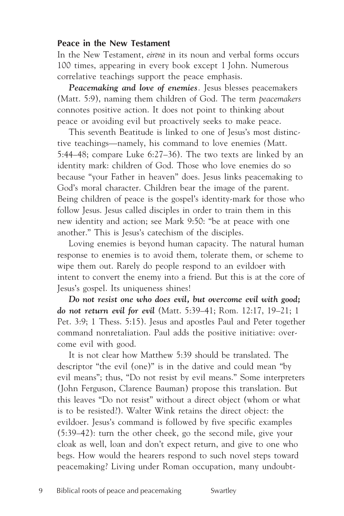#### **Peace in the New Testament**

In the New Testament, *eirene* in its noun and verbal forms occurs 100 times, appearing in every book except 1 John. Numerous correlative teachings support the peace emphasis.

*Peacemaking and love of enemies.* Jesus blesses peacemakers (Matt. 5:9), naming them children of God. The term *peacemakers* connotes positive action. It does not point to thinking about peace or avoiding evil but proactively seeks to make peace.

This seventh Beatitude is linked to one of Jesus's most distinctive teachings—namely, his command to love enemies *(*Matt. 5:44–48; compare Luke 6:27–36). The two texts are linked by an identity mark: children of God. Those who love enemies do so because "your Father in heaven" does. Jesus links peacemaking to God's moral character. Children bear the image of the parent. Being children of peace is the gospel's identity-mark for those who follow Jesus. Jesus called disciples in order to train them in this new identity and action; see Mark 9:50: "be at peace with one another." This is Jesus's catechism of the disciples.

Loving enemies is beyond human capacity. The natural human response to enemies is to avoid them, tolerate them, or scheme to wipe them out. Rarely do people respond to an evildoer with intent to convert the enemy into a friend. But this is at the core of Jesus's gospel. Its uniqueness shines!

*Do not resist one who does evil, but overcome evil with good; do not return evil for evil* (Matt. 5:39–41; Rom. 12:17, 19–21; 1 Pet. 3:9; 1 Thess. 5:15). Jesus and apostles Paul and Peter together command nonretaliation. Paul adds the positive initiative: overcome evil with good.

It is not clear how Matthew 5:39 should be translated. The descriptor "the evil (one)" is in the dative and could mean "by evil means"; thus, "Do not resist by evil means." Some interpreters (John Ferguson, Clarence Bauman) propose this translation. But this leaves "Do not resist" without a direct object (whom or what is to be resisted?). Walter Wink retains the direct object: the evildoer. Jesus's command is followed by five specific examples (5:39–42): turn the other cheek, go the second mile, give your cloak as well, loan and don't expect return, and give to one who begs. How would the hearers respond to such novel steps toward peacemaking? Living under Roman occupation, many undoubt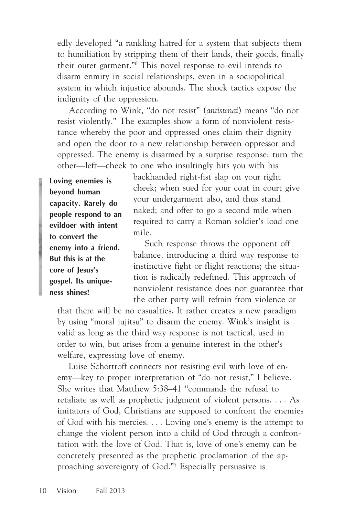edly developed "a rankling hatred for a system that subjects them to humiliation by stripping them of their lands, their goods, finally their outer garment."6 This novel response to evil intends to disarm enmity in social relationships, even in a sociopolitical system in which injustice abounds. The shock tactics expose the indignity of the oppression.

According to Wink, "do not resist" (*antistnai*) means "do not resist violently." The examples show a form of nonviolent resistance whereby the poor and oppressed ones claim their dignity and open the door to a new relationship between oppressor and oppressed. The enemy is disarmed by a surprise response: turn the other—left—cheek to one who insultingly hits you with his

**Loving enemies is beyond human capacity. Rarely do people respond to an evildoer with intent to convert the enemy into a friend. But this is at the core of Jesus's gospel. Its uniqueness shines!**

backhanded right-fist slap on your right cheek; when sued for your coat in court give your undergarment also, and thus stand naked; and offer to go a second mile when required to carry a Roman soldier's load one mile.

Such response throws the opponent off balance, introducing a third way response to instinctive fight or flight reactions; the situation is radically redefined. This approach of nonviolent resistance does not guarantee that the other party will refrain from violence or

that there will be no casualties. It rather creates a new paradigm by using "moral jujitsu" to disarm the enemy. Wink's insight is valid as long as the third way response is not tactical, used in order to win, but arises from a genuine interest in the other's welfare, expressing love of enemy.

Luise Schottroff connects not resisting evil with love of enemy—key to proper interpretation of "do not resist," I believe. She writes that Matthew 5:38–41 "commands the refusal to retaliate as well as prophetic judgment of violent persons. . . . As imitators of God, Christians are supposed to confront the enemies of God with his mercies. . . . Loving one's enemy is the attempt to change the violent person into a child of God through a confrontation with the love of God. That is, love of one's enemy can be concretely presented as the prophetic proclamation of the approaching sovereignty of God."7 Especially persuasive is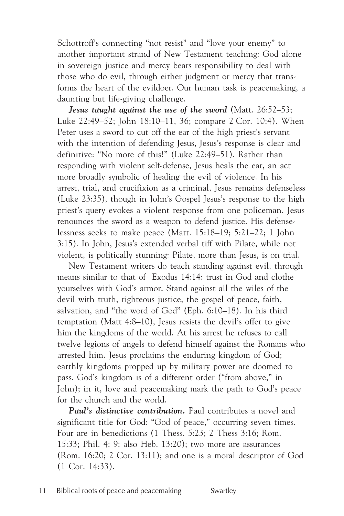Schottroff's connecting "not resist" and "love your enemy" to another important strand of New Testament teaching: God alone in sovereign justice and mercy bears responsibility to deal with those who do evil, through either judgment or mercy that transforms the heart of the evildoer. Our human task is peacemaking, a daunting but life-giving challenge.

*Jesus taught against the use of the sword* (Matt. 26:52–53; Luke 22:49–52; John 18:10–11, 36; compare 2 Cor. 10:4). When Peter uses a sword to cut off the ear of the high priest's servant with the intention of defending Jesus, Jesus's response is clear and definitive: "No more of this!" (Luke 22:49–51). Rather than responding with violent self-defense, Jesus heals the ear, an act more broadly symbolic of healing the evil of violence. In his arrest, trial, and crucifixion as a criminal, Jesus remains defenseless (Luke 23:35), though in John's Gospel Jesus's response to the high priest's query evokes a violent response from one policeman. Jesus renounces the sword as a weapon to defend justice. His defenselessness seeks to make peace (Matt. 15:18–19; 5:21–22; 1 John 3:15). In John, Jesus's extended verbal tiff with Pilate, while not violent, is politically stunning: Pilate, more than Jesus, is on trial.

New Testament writers do teach standing against evil, through means similar to that of Exodus 14:14: trust in God and clothe yourselves with God's armor. Stand against all the wiles of the devil with truth, righteous justice, the gospel of peace, faith, salvation, and "the word of God" (Eph. 6:10–18). In his third temptation (Matt 4:8–10), Jesus resists the devil's offer to give him the kingdoms of the world. At his arrest he refuses to call twelve legions of angels to defend himself against the Romans who arrested him. Jesus proclaims the enduring kingdom of God; earthly kingdoms propped up by military power are doomed to pass. God's kingdom is of a different order ("from above," in John); in it, love and peacemaking mark the path to God's peace for the church and the world.

*Paul's distinctive contribution.* Paul contributes a novel and significant title for God: "God of peace," occurring seven times. Four are in benedictions (1 Thess. 5:23; 2 Thess 3:16; Rom. 15:33; Phil. 4: 9: also Heb. 13:20); two more are assurances (Rom. 16:20; 2 Cor. 13:11); and one is a moral descriptor of God (1 Cor. 14:33).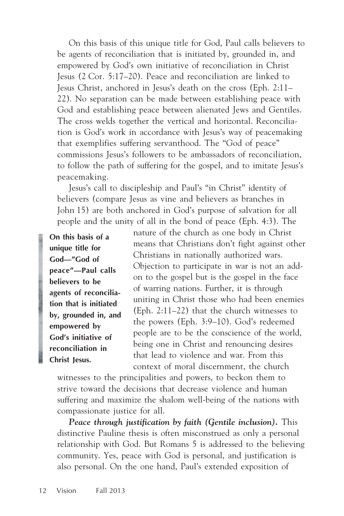On this basis of this unique title for God, Paul calls believers to be agents of reconciliation that is initiated by, grounded in, and empowered by God's own initiative of reconciliation in Christ Jesus (2 Cor. 5:17–20). Peace and reconciliation are linked to Jesus Christ, anchored in Jesus's death on the cross (Eph. 2:11– 22). No separation can be made between establishing peace with God and establishing peace between alienated Jews and Gentiles. The cross welds together the vertical and horizontal. Reconciliation is God's work in accordance with Jesus's way of peacemaking that exemplifies suffering servanthood. The "God of peace" commissions Jesus's followers to be ambassadors of reconciliation, to follow the path of suffering for the gospel, and to imitate Jesus's peacemaking.

Jesus's call to discipleship and Paul's "in Christ" identity of believers (compare Jesus as vine and believers as branches in John 15) are both anchored in God's purpose of salvation for all people and the unity of all in the bond of peace (Eph. 4:3). The

**On this basis of a unique title for God—"God of peace"—Paul calls believers to be agents of reconciliation that is initiated by, grounded in, and empowered by God's initiative of reconciliation in Christ Jesus.**

nature of the church as one body in Christ means that Christians don't fight against other Christians in nationally authorized wars. Objection to participate in war is not an addon to the gospel but is the gospel in the face of warring nations. Further, it is through uniting in Christ those who had been enemies (Eph. 2:11–22) that the church witnesses to the powers (Eph. 3:9–10). God's redeemed people are to be the conscience of the world, being one in Christ and renouncing desires that lead to violence and war. From this context of moral discernment, the church

witnesses to the principalities and powers, to beckon them to strive toward the decisions that decrease violence and human suffering and maximize the shalom well-being of the nations with compassionate justice for all.

*Peace through justification by faith (Gentile inclusion).* This distinctive Pauline thesis is often misconstrued as only a personal relationship with God. But Romans 5 is addressed to the believing community. Yes, peace with God is personal, and justification is also personal. On the one hand, Paul's extended exposition of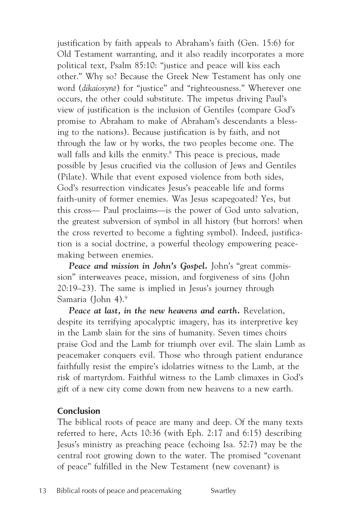justification by faith appeals to Abraham's faith (Gen. 15:6) for Old Testament warranting, and it also readily incorporates a more political text, Psalm 85:10: "justice and peace will kiss each other." Why so? Because the Greek New Testament has only one word (*dikaiosyne*) for "justice" and "righteousness." Wherever one occurs, the other could substitute. The impetus driving Paul's view of justification is the inclusion of Gentiles (compare God's promise to Abraham to make of Abraham's descendants a blessing to the nations). Because justification is by faith, and not through the law or by works, the two peoples become one. The wall falls and kills the enmity.<sup>8</sup> This peace is precious, made possible by Jesus crucified via the collusion of Jews and Gentiles (Pilate). While that event exposed violence from both sides, God's resurrection vindicates Jesus's peaceable life and forms faith-unity of former enemies. Was Jesus scapegoated? Yes, but this cross— Paul proclaims—is the power of God unto salvation, the greatest subversion of symbol in all history (but horrors! when the cross reverted to become a fighting symbol). Indeed, justification is a social doctrine, a powerful theology empowering peacemaking between enemies.

*Peace and mission in John's Gospel.* John's "great commission" interweaves peace, mission, and forgiveness of sins (John 20:19–23). The same is implied in Jesus's journey through Samaria (John 4).9

*Peace at last, in the new heavens and earth.* Revelation, despite its terrifying apocalyptic imagery, has its interpretive key in the Lamb slain for the sins of humanity. Seven times choirs praise God and the Lamb for triumph over evil. The slain Lamb as peacemaker conquers evil. Those who through patient endurance faithfully resist the empire's idolatries witness to the Lamb, at the risk of martyrdom. Faithful witness to the Lamb climaxes in God's gift of a new city come down from new heavens to a new earth.

#### **Conclusion**

The biblical roots of peace are many and deep. Of the many texts referred to here, Acts 10:36 (with Eph. 2:17 and 6:15) describing Jesus's ministry as preaching peace (echoing Isa. 52:7) may be the central root growing down to the water. The promised "covenant of peace" fulfilled in the New Testament (new covenant) is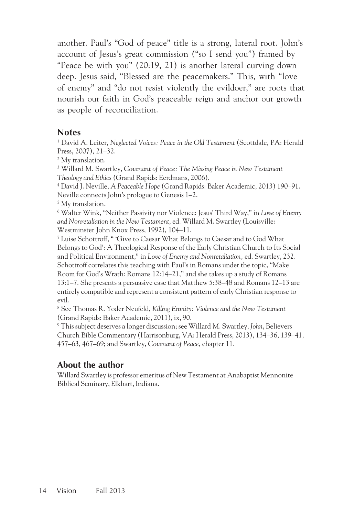another. Paul's "God of peace" title is a strong, lateral root. John's account of Jesus's great commission ("so I send you*"*) framed by "Peace be with you" (20:19, 21) is another lateral curving down deep. Jesus said, "Blessed are the peacemakers." This, with "love of enemy" and "do not resist violently the evildoer," are roots that nourish our faith in God's peaceable reign and anchor our growth as people of reconciliation.

#### **Notes**

<sup>1</sup> David A. Leiter, *Neglected Voices: Peace in the Old Testament* (Scottdale, PA: Herald Press, 2007), 21–32.

<sup>2</sup> My translation.

3 Willard M. Swartley, *Covenant of Peace: The Missing Peace in New Testament Theology and Ethics* (Grand Rapids: Eerdmans, 2006).

4 David J. Neville, *A Peaceable Hope* (Grand Rapids: Baker Academic, 2013) 190–91. Neville connects John's prologue to Genesis 1–2.

<sup>5</sup> My translation.

6 Walter Wink, "Neither Passivity nor Violence: Jesus' Third Way," in *Love of Enemy and Nonretaliation in the New Testament*, ed. Willard M. Swartley (Louisville: Westminster John Knox Press, 1992), 104–11.

7 Luise Schottroff, " 'Give to Caesar What Belongs to Caesar and to God What Belongs to God': A Theological Response of the Early Christian Church to Its Social and Political Environment," in *Love of Enemy and Nonretaliation,* ed. Swartley, 232. Schottroff correlates this teaching with Paul's in Romans under the topic, "Make Room for God's Wrath: Romans 12:14–21," and she takes up a study of Romans 13:1–7. She presents a persuasive case that Matthew 5:38–48 and Romans 12–13 are entirely compatible and represent a consistent pattern of early Christian response to evil.

8 See Thomas R. Yoder Neufeld, *Killing Enmity: Violence and the New Testament* (Grand Rapids: Baker Academic, 2011), ix, 90.

9 This subject deserves a longer discussion; see Willard M. Swartley, *John*, Believers Church Bible Commentary (Harrisonburg, VA: Herald Press, 2013), 134–36, 139–41, 457–63, 467–69; and Swartley, *Covenant of Peace*, chapter 11.

#### **About the author**

Willard Swartley is professor emeritus of New Testament at Anabaptist Mennonite Biblical Seminary, Elkhart, Indiana.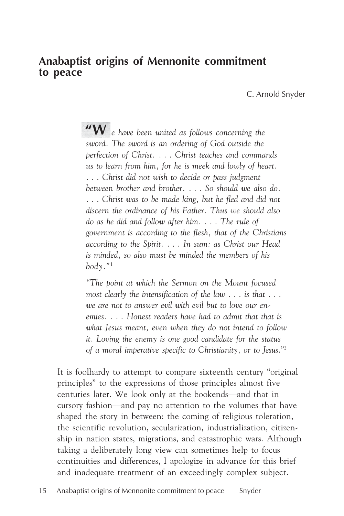# **Anabaptist origins of Mennonite commitment to peace**

C. Arnold Snyder

*e have been united as follows concerning the* **"W***sword. The sword is an ordering of God outside the perfection of Christ. . . . Christ teaches and commands us to learn from him, for he is meek and lowly of heart. . . . Christ did not wish to decide or pass judgment between brother and brother. . . . So should we also do. . . . Christ was to be made king, but he fled and did not discern the ordinance of his Father. Thus we should also do as he did and follow after him. . . . The rule of government is according to the flesh, that of the Christians according to the Spirit. . . . In sum: as Christ our Head is minded, so also must be minded the members of his body."*<sup>1</sup>

*"The point at which the Sermon on the Mount focused most clearly the intensification of the law . . . is that . . . we are not to answer evil with evil but to love our enemies. . . . Honest readers have had to admit that that is what Jesus meant, even when they do not intend to follow it. Loving the enemy is one good candidate for the status of a moral imperative specific to Christianity, or to Jesus."*<sup>2</sup>

It is foolhardy to attempt to compare sixteenth century "original principles" to the expressions of those principles almost five centuries later. We look only at the bookends—and that in cursory fashion—and pay no attention to the volumes that have shaped the story in between: the coming of religious toleration, the scientific revolution, secularization, industrialization, citizenship in nation states, migrations, and catastrophic wars. Although taking a deliberately long view can sometimes help to focus continuities and differences, I apologize in advance for this brief and inadequate treatment of an exceedingly complex subject.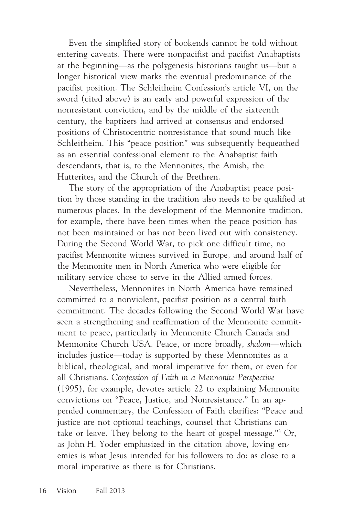Even the simplified story of bookends cannot be told without entering caveats. There were nonpacifist and pacifist Anabaptists at the beginning—as the polygenesis historians taught us—but a longer historical view marks the eventual predominance of the pacifist position. The Schleitheim Confession's article VI, on the sword (cited above) is an early and powerful expression of the nonresistant conviction, and by the middle of the sixteenth century, the baptizers had arrived at consensus and endorsed positions of Christocentric nonresistance that sound much like Schleitheim. This "peace position" was subsequently bequeathed as an essential confessional element to the Anabaptist faith descendants, that is, to the Mennonites, the Amish, the Hutterites, and the Church of the Brethren.

The story of the appropriation of the Anabaptist peace position by those standing in the tradition also needs to be qualified at numerous places. In the development of the Mennonite tradition, for example, there have been times when the peace position has not been maintained or has not been lived out with consistency. During the Second World War, to pick one difficult time, no pacifist Mennonite witness survived in Europe, and around half of the Mennonite men in North America who were eligible for military service chose to serve in the Allied armed forces.

Nevertheless, Mennonites in North America have remained committed to a nonviolent, pacifist position as a central faith commitment. The decades following the Second World War have seen a strengthening and reaffirmation of the Mennonite commitment to peace, particularly in Mennonite Church Canada and Mennonite Church USA. Peace, or more broadly, *shalom*—which includes justice—today is supported by these Mennonites as a biblical, theological, and moral imperative for them, or even for all Christians. *Confession of Faith in a Mennonite Perspective* (1995), for example, devotes article 22 to explaining Mennonite convictions on "Peace, Justice, and Nonresistance." In an appended commentary, the Confession of Faith clarifies: "Peace and justice are not optional teachings, counsel that Christians can take or leave. They belong to the heart of gospel message."3 Or, as John H. Yoder emphasized in the citation above, loving enemies is what Jesus intended for his followers to do: as close to a moral imperative as there is for Christians.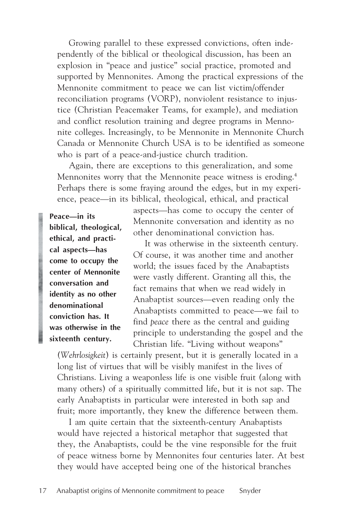Growing parallel to these expressed convictions, often independently of the biblical or theological discussion, has been an explosion in "peace and justice" social practice, promoted and supported by Mennonites. Among the practical expressions of the Mennonite commitment to peace we can list victim/offender reconciliation programs (VORP), nonviolent resistance to injustice (Christian Peacemaker Teams, for example), and mediation and conflict resolution training and degree programs in Mennonite colleges. Increasingly, to be Mennonite in Mennonite Church Canada or Mennonite Church USA is to be identified as someone who is part of a peace-and-justice church tradition.

Again, there are exceptions to this generalization, and some Mennonites worry that the Mennonite peace witness is eroding.<sup>4</sup> Perhaps there is some fraying around the edges, but in my experience, peace—in its biblical, theological, ethical, and practical

**Peace—in its biblical, theological, ethical, and practical aspects—has come to occupy the center of Mennonite conversation and identity as no other denominational conviction has. It was otherwise in the sixteenth century.**

aspects—has come to occupy the center of Mennonite conversation and identity as no other denominational conviction has.

It was otherwise in the sixteenth century. Of course, it was another time and another world; the issues faced by the Anabaptists were vastly different. Granting all this, the fact remains that when we read widely in Anabaptist sources—even reading only the Anabaptists committed to peace—we fail to find *peace* there as the central and guiding principle to understanding the gospel and the Christian life. "Living without weapons"

(*Wehrlosigkeit*) is certainly present, but it is generally located in a long list of virtues that will be visibly manifest in the lives of Christians. Living a weaponless life is one visible fruit (along with many others) of a spiritually committed life, but it is not sap. The early Anabaptists in particular were interested in both sap and fruit; more importantly, they knew the difference between them.

I am quite certain that the sixteenth-century Anabaptists would have rejected a historical metaphor that suggested that they, the Anabaptists, could be the vine responsible for the fruit of peace witness borne by Mennonites four centuries later. At best they would have accepted being one of the historical branches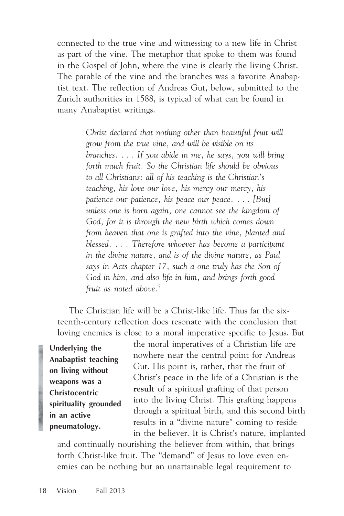connected to the true vine and witnessing to a new life in Christ as part of the vine. The metaphor that spoke to them was found in the Gospel of John, where the vine is clearly the living Christ. The parable of the vine and the branches was a favorite Anabaptist text. The reflection of Andreas Gut, below, submitted to the Zurich authorities in 1588, is typical of what can be found in many Anabaptist writings.

> *Christ declared that nothing other than beautiful fruit will grow from the true vine, and will be visible on its branches. . . . If you abide in me, he says, you will bring forth much fruit. So the Christian life should be obvious to all Christians: all of his teaching is the Christian's teaching, his love our love, his mercy our mercy, his patience our patience, his peace our peace. . . . [But] unless one is born again, one cannot see the kingdom of God, for it is through the new birth which comes down from heaven that one is grafted into the vine, planted and blessed. . . . Therefore whoever has become a participant in the divine nature, and is of the divine nature, as Paul says in Acts chapter 17, such a one truly has the Son of God in him, and also life in him, and brings forth good fruit as noted above.*<sup>5</sup>

The Christian life will be a Christ-like life. Thus far the sixteenth-century reflection does resonate with the conclusion that loving enemies is close to a moral imperative specific to Jesus. But

**Underlying the Anabaptist teaching on living without weapons was a Christocentric spirituality grounded in an active pneumatology.**

the moral imperatives of a Christian life are nowhere near the central point for Andreas Gut. His point is, rather, that the fruit of Christ's peace in the life of a Christian is the **result** of a spiritual grafting of that person into the living Christ. This grafting happens through a spiritual birth, and this second birth results in a "divine nature" coming to reside in the believer. It is Christ's nature, implanted

and continually nourishing the believer from within, that brings forth Christ-like fruit. The "demand" of Jesus to love even enemies can be nothing but an unattainable legal requirement to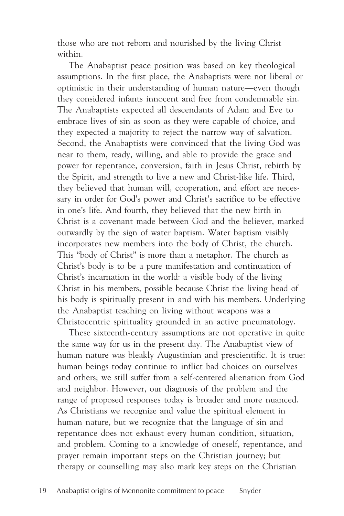those who are not reborn and nourished by the living Christ within.

The Anabaptist peace position was based on key theological assumptions. In the first place, the Anabaptists were not liberal or optimistic in their understanding of human nature—even though they considered infants innocent and free from condemnable sin. The Anabaptists expected all descendants of Adam and Eve to embrace lives of sin as soon as they were capable of choice, and they expected a majority to reject the narrow way of salvation. Second, the Anabaptists were convinced that the living God was near to them, ready, willing, and able to provide the grace and power for repentance, conversion, faith in Jesus Christ, rebirth by the Spirit, and strength to live a new and Christ-like life. Third, they believed that human will, cooperation, and effort are necessary in order for God's power and Christ's sacrifice to be effective in one's life. And fourth, they believed that the new birth in Christ is a covenant made between God and the believer, marked outwardly by the sign of water baptism. Water baptism visibly incorporates new members into the body of Christ, the church. This "body of Christ" is more than a metaphor. The church as Christ's body is to be a pure manifestation and continuation of Christ's incarnation in the world: a visible body of the living Christ in his members, possible because Christ the living head of his body is spiritually present in and with his members. Underlying the Anabaptist teaching on living without weapons was a Christocentric spirituality grounded in an active pneumatology.

These sixteenth-century assumptions are not operative in quite the same way for us in the present day. The Anabaptist view of human nature was bleakly Augustinian and prescientific. It is true: human beings today continue to inflict bad choices on ourselves and others; we still suffer from a self-centered alienation from God and neighbor. However, our diagnosis of the problem and the range of proposed responses today is broader and more nuanced. As Christians we recognize and value the spiritual element in human nature, but we recognize that the language of sin and repentance does not exhaust every human condition, situation, and problem. Coming to a knowledge of oneself, repentance, and prayer remain important steps on the Christian journey; but therapy or counselling may also mark key steps on the Christian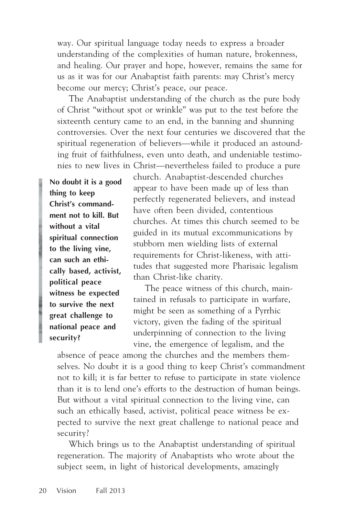way. Our spiritual language today needs to express a broader understanding of the complexities of human nature, brokenness, and healing. Our prayer and hope, however, remains the same for us as it was for our Anabaptist faith parents: may Christ's mercy become our mercy; Christ's peace, our peace.

The Anabaptist understanding of the church as the pure body of Christ "without spot or wrinkle" was put to the test before the sixteenth century came to an end, in the banning and shunning controversies. Over the next four centuries we discovered that the spiritual regeneration of believers—while it produced an astounding fruit of faithfulness, even unto death, and undeniable testimonies to new lives in Christ—nevertheless failed to produce a pure

**No doubt it is a good thing to keep Christ's commandment not to kill. But without a vital spiritual connection to the living vine, can such an ethically based, activist, political peace witness be expected to survive the next great challenge to national peace and security?**

church. Anabaptist-descended churches appear to have been made up of less than perfectly regenerated believers, and instead have often been divided, contentious churches. At times this church seemed to be guided in its mutual excommunications by stubborn men wielding lists of external requirements for Christ-likeness, with attitudes that suggested more Pharisaic legalism than Christ-like charity.

The peace witness of this church, maintained in refusals to participate in warfare, might be seen as something of a Pyrrhic victory, given the fading of the spiritual underpinning of connection to the living vine, the emergence of legalism, and the

absence of peace among the churches and the members themselves. No doubt it is a good thing to keep Christ's commandment not to kill; it is far better to refuse to participate in state violence than it is to lend one's efforts to the destruction of human beings. But without a vital spiritual connection to the living vine, can such an ethically based, activist, political peace witness be expected to survive the next great challenge to national peace and security?

Which brings us to the Anabaptist understanding of spiritual regeneration. The majority of Anabaptists who wrote about the subject seem, in light of historical developments, amazingly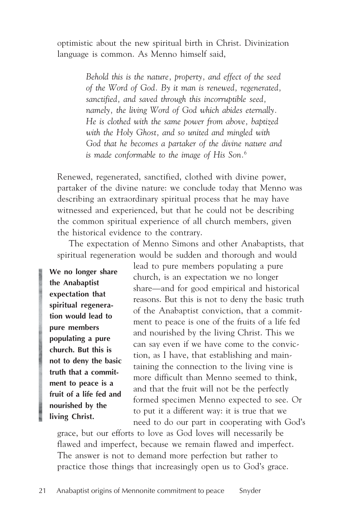optimistic about the new spiritual birth in Christ. Divinization language is common. As Menno himself said,

> *Behold this is the nature, property, and effect of the seed of the Word of God. By it man is renewed, regenerated, sanctified, and saved through this incorruptible seed, namely, the living Word of God which abides eternally. He is clothed with the same power from above, baptized with the Holy Ghost, and so united and mingled with God that he becomes a partaker of the divine nature and is made conformable to the image of His Son.*<sup>6</sup>

Renewed, regenerated, sanctified, clothed with divine power, partaker of the divine nature: we conclude today that Menno was describing an extraordinary spiritual process that he may have witnessed and experienced, but that he could not be describing the common spiritual experience of all church members, given the historical evidence to the contrary.

The expectation of Menno Simons and other Anabaptists, that spiritual regeneration would be sudden and thorough and would

**We no longer share the Anabaptist expectation that spiritual regeneration would lead to pure members populating a pure church. But this is not to deny the basic truth that a commitment to peace is a fruit of a life fed and nourished by the living Christ.**

lead to pure members populating a pure church, is an expectation we no longer share—and for good empirical and historical reasons. But this is not to deny the basic truth of the Anabaptist conviction, that a commitment to peace is one of the fruits of a life fed and nourished by the living Christ. This we can say even if we have come to the conviction, as I have, that establishing and maintaining the connection to the living vine is more difficult than Menno seemed to think, and that the fruit will not be the perfectly formed specimen Menno expected to see. Or to put it a different way: it is true that we need to do our part in cooperating with God's

grace, but our efforts to love as God loves will necessarily be flawed and imperfect, because we remain flawed and imperfect. The answer is not to demand more perfection but rather to practice those things that increasingly open us to God's grace.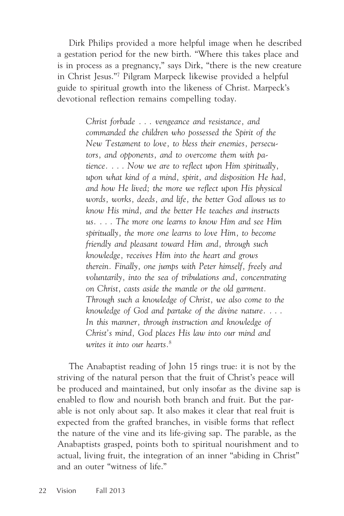Dirk Philips provided a more helpful image when he described a gestation period for the new birth. "Where this takes place and is in process as a pregnancy," says Dirk, "there is the new creature in Christ Jesus."7 Pilgram Marpeck likewise provided a helpful guide to spiritual growth into the likeness of Christ. Marpeck's devotional reflection remains compelling today.

> *Christ forbade . . . vengeance and resistance, and commanded the children who possessed the Spirit of the New Testament to love, to bless their enemies, persecutors, and opponents, and to overcome them with patience. . . . Now we are to reflect upon Him spiritually, upon what kind of a mind, spirit, and disposition He had, and how He lived; the more we reflect upon His physical words, works, deeds, and life, the better God allows us to know His mind, and the better He teaches and instructs us. . . . The more one learns to know Him and see Him spiritually, the more one learns to love Him, to become friendly and pleasant toward Him and, through such knowledge, receives Him into the heart and grows therein. Finally, one jumps with Peter himself, freely and voluntarily, into the sea of tribulations and, concentrating on Christ, casts aside the mantle or the old garment. Through such a knowledge of Christ, we also come to the knowledge of God and partake of the divine nature. . . . In this manner, through instruction and knowledge of Christ's mind, God places His law into our mind and writes it into our hearts.*<sup>8</sup>

The Anabaptist reading of John 15 rings true: it is not by the striving of the natural person that the fruit of Christ's peace will be produced and maintained, but only insofar as the divine sap is enabled to flow and nourish both branch and fruit. But the parable is not only about sap. It also makes it clear that real fruit is expected from the grafted branches, in visible forms that reflect the nature of the vine and its life-giving sap. The parable, as the Anabaptists grasped, points both to spiritual nourishment and to actual, living fruit, the integration of an inner "abiding in Christ" and an outer "witness of life."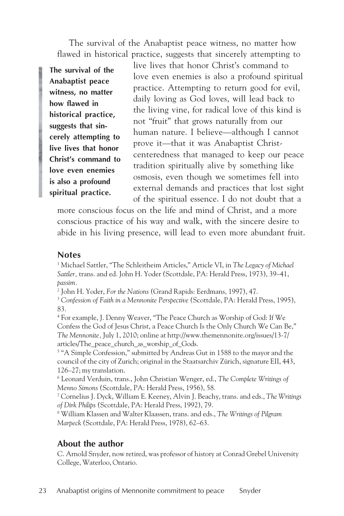The survival of the Anabaptist peace witness, no matter how flawed in historical practice, suggests that sincerely attempting to

**The survival of the Anabaptist peace witness, no matter how flawed in historical practice, suggests that sincerely attempting to live lives that honor Christ's command to love even enemies is also a profound spiritual practice.**

live lives that honor Christ's command to love even enemies is also a profound spiritual practice. Attempting to return good for evil, daily loving as God loves, will lead back to the living vine, for radical love of this kind is not "fruit" that grows naturally from our human nature. I believe—although I cannot prove it—that it was Anabaptist Christcenteredness that managed to keep our peace tradition spiritually alive by something like osmosis, even though we sometimes fell into external demands and practices that lost sight of the spiritual essence. I do not doubt that a

more conscious focus on the life and mind of Christ, and a more conscious practice of his way and walk, with the sincere desire to abide in his living presence, will lead to even more abundant fruit.

#### **Notes**

1 Michael Sattler, "The Schleitheim Articles," Article VI, in *The Legacy of Michael Sattler,* trans. and ed. John H. Yoder (Scottdale, PA: Herald Press, 1973), 39–41, *passim.*

2 John H. Yoder, *For the Nations* (Grand Rapids: Eerdmans, 1997), 47.

<sup>3</sup> *Confession of Faith in a Mennonite Perspective* (Scottdale, PA: Herald Press, 1995), 83.

4 For example, J. Denny Weaver, "The Peace Church as Worship of God: If We Confess the God of Jesus Christ, a Peace Church Is the Only Church We Can Be," *The Mennonite,* July 1, 2010; online at http://www.themennonite.org/issues/13-7/ articles/The\_peace\_church\_as\_worship\_of\_Gods.

<sup>5</sup> "A Simple Confession," submitted by Andreas Gut in 1588 to the mayor and the council of the city of Zurich; original in the Staatsarchiv Zürich, signature EII, 443, 126–27; my translation.

6 Leonard Verduin, trans., John Christian Wenger, ed., *The Complete Writings of Menno Simons* (Scottdale, PA: Herald Press, 1956), 58.

7 Cornelius J. Dyck, William E. Keeney, Alvin J. Beachy, trans. and eds., *The Writings of Dirk Philips* (Scottdale, PA: Herald Press, 1992), 79.

8 William Klassen and Walter Klaassen, trans. and eds., *The Writings of Pilgram Marpeck* (Scottdale, PA: Herald Press, 1978), 62–63.

#### **About the author**

C. Arnold Snyder, now retired, was professor of history at Conrad Grebel University College, Waterloo, Ontario.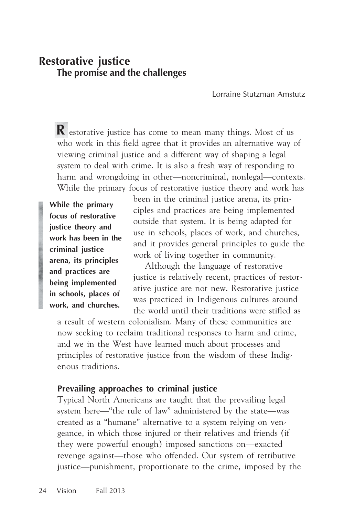## **Restorative justice The promise and the challenges**

Lorraine Stutzman Amstutz

**R** estorative justice has come to mean many things. Most of us who work in this field agree that it provides an alternative way of viewing criminal justice and a different way of shaping a legal system to deal with crime. It is also a fresh way of responding to harm and wrongdoing in other—noncriminal, nonlegal—contexts. While the primary focus of restorative justice theory and work has

**While the primary focus of restorative justice theory and work has been in the criminal justice arena, its principles and practices are being implemented in schools, places of work, and churches.**

been in the criminal justice arena, its principles and practices are being implemented outside that system. It is being adapted for use in schools, places of work, and churches, and it provides general principles to guide the work of living together in community.

Although the language of restorative justice is relatively recent, practices of restorative justice are not new. Restorative justice was practiced in Indigenous cultures around the world until their traditions were stifled as

a result of western colonialism. Many of these communities are now seeking to reclaim traditional responses to harm and crime, and we in the West have learned much about processes and principles of restorative justice from the wisdom of these Indigenous traditions.

#### **Prevailing approaches to criminal justice**

Typical North Americans are taught that the prevailing legal system here—"the rule of law" administered by the state—was created as a "humane" alternative to a system relying on vengeance, in which those injured or their relatives and friends (if they were powerful enough) imposed sanctions on—exacted revenge against—those who offended. Our system of retributive justice—punishment, proportionate to the crime, imposed by the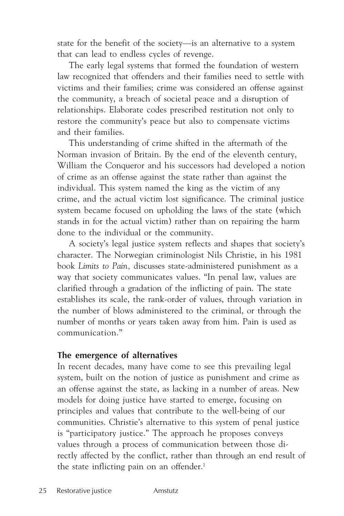state for the benefit of the society—is an alternative to a system that can lead to endless cycles of revenge.

The early legal systems that formed the foundation of western law recognized that offenders and their families need to settle with victims and their families; crime was considered an offense against the community, a breach of societal peace and a disruption of relationships. Elaborate codes prescribed restitution not only to restore the community's peace but also to compensate victims and their families.

This understanding of crime shifted in the aftermath of the Norman invasion of Britain. By the end of the eleventh century, William the Conqueror and his successors had developed a notion of crime as an offense against the state rather than against the individual. This system named the king as the victim of any crime, and the actual victim lost significance. The criminal justice system became focused on upholding the laws of the state (which stands in for the actual victim) rather than on repairing the harm done to the individual or the community.

A society's legal justice system reflects and shapes that society's character. The Norwegian criminologist Nils Christie, in his 1981 book *Limits to Pain,* discusses state-administered punishment as a way that society communicates values. "In penal law, values are clarified through a gradation of the inflicting of pain. The state establishes its scale, the rank-order of values, through variation in the number of blows administered to the criminal, or through the number of months or years taken away from him. Pain is used as communication."

#### **The emergence of alternatives**

In recent decades, many have come to see this prevailing legal system, built on the notion of justice as punishment and crime as an offense against the state, as lacking in a number of areas. New models for doing justice have started to emerge, focusing on principles and values that contribute to the well-being of our communities. Christie's alternative to this system of penal justice is "participatory justice." The approach he proposes conveys values through a process of communication between those directly affected by the conflict, rather than through an end result of the state inflicting pain on an offender.<sup>1</sup>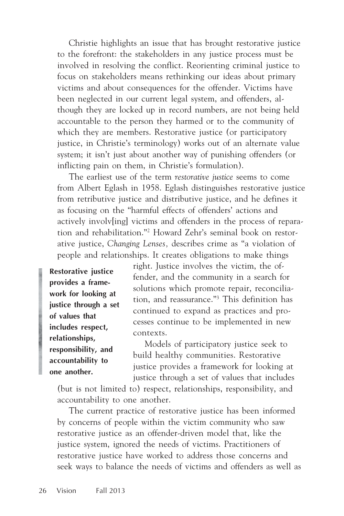Christie highlights an issue that has brought restorative justice to the forefront: the stakeholders in any justice process must be involved in resolving the conflict. Reorienting criminal justice to focus on stakeholders means rethinking our ideas about primary victims and about consequences for the offender. Victims have been neglected in our current legal system, and offenders, although they are locked up in record numbers, are not being held accountable to the person they harmed or to the community of which they are members. Restorative justice (or participatory justice, in Christie's terminology) works out of an alternate value system; it isn't just about another way of punishing offenders (or inflicting pain on them, in Christie's formulation).

The earliest use of the term *restorative justice* seems to come from Albert Eglash in 1958. Eglash distinguishes restorative justice from retributive justice and distributive justice, and he defines it as focusing on the "harmful effects of offenders' actions and actively involv[ing] victims and offenders in the process of reparation and rehabilitation."2 Howard Zehr's seminal book on restorative justice, *Changing Lenses,* describes crime as "a violation of people and relationships. It creates obligations to make things

**Restorative justice provides a framework for looking at justice through a set of values that includes respect, relationships, responsibility, and accountability to one another.**

right. Justice involves the victim, the offender, and the community in a search for solutions which promote repair, reconciliation, and reassurance."3 This definition has continued to expand as practices and processes continue to be implemented in new contexts.

Models of participatory justice seek to build healthy communities. Restorative justice provides a framework for looking at justice through a set of values that includes

(but is not limited to) respect, relationships, responsibility, and accountability to one another.

The current practice of restorative justice has been informed by concerns of people within the victim community who saw restorative justice as an offender-driven model that, like the justice system, ignored the needs of victims. Practitioners of restorative justice have worked to address those concerns and seek ways to balance the needs of victims and offenders as well as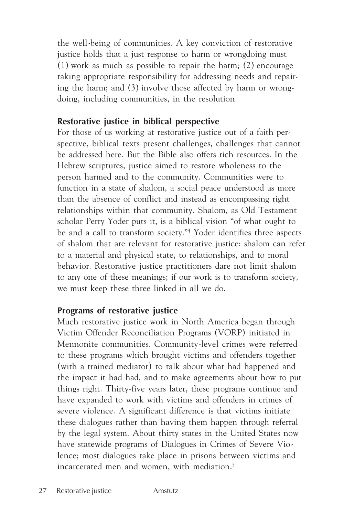the well-being of communities. A key conviction of restorative justice holds that a just response to harm or wrongdoing must (1) work as much as possible to repair the harm; (2) encourage taking appropriate responsibility for addressing needs and repairing the harm; and (3) involve those affected by harm or wrongdoing, including communities, in the resolution.

## **Restorative justice in biblical perspective**

For those of us working at restorative justice out of a faith perspective, biblical texts present challenges, challenges that cannot be addressed here. But the Bible also offers rich resources. In the Hebrew scriptures, justice aimed to restore wholeness to the person harmed and to the community. Communities were to function in a state of shalom, a social peace understood as more than the absence of conflict and instead as encompassing right relationships within that community. Shalom, as Old Testament scholar Perry Yoder puts it, is a biblical vision "of what ought to be and a call to transform society."4 Yoder identifies three aspects of shalom that are relevant for restorative justice: shalom can refer to a material and physical state, to relationships, and to moral behavior. Restorative justice practitioners dare not limit shalom to any one of these meanings; if our work is to transform society, we must keep these three linked in all we do.

## **Programs of restorative justice**

Much restorative justice work in North America began through Victim Offender Reconciliation Programs (VORP) initiated in Mennonite communities. Community-level crimes were referred to these programs which brought victims and offenders together (with a trained mediator) to talk about what had happened and the impact it had had, and to make agreements about how to put things right. Thirty-five years later, these programs continue and have expanded to work with victims and offenders in crimes of severe violence. A significant difference is that victims initiate these dialogues rather than having them happen through referral by the legal system. About thirty states in the United States now have statewide programs of Dialogues in Crimes of Severe Violence; most dialogues take place in prisons between victims and incarcerated men and women, with mediation.<sup>5</sup>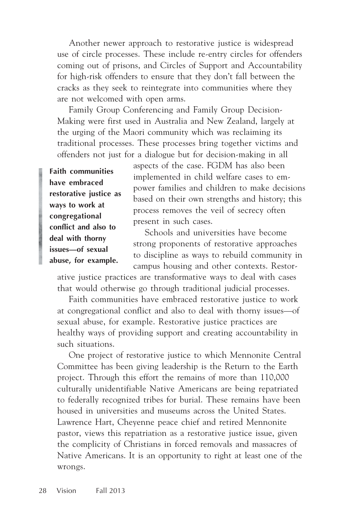Another newer approach to restorative justice is widespread use of circle processes. These include re-entry circles for offenders coming out of prisons, and Circles of Support and Accountability for high-risk offenders to ensure that they don't fall between the cracks as they seek to reintegrate into communities where they are not welcomed with open arms.

Family Group Conferencing and Family Group Decision-Making were first used in Australia and New Zealand, largely at the urging of the Maori community which was reclaiming its traditional processes. These processes bring together victims and offenders not just for a dialogue but for decision-making in all

**Faith communities have embraced restorative justice as ways to work at congregational conflict and also to deal with thorny issues—of sexual abuse, for example.**

aspects of the case. FGDM has also been implemented in child welfare cases to empower families and children to make decisions based on their own strengths and history; this process removes the veil of secrecy often present in such cases.

Schools and universities have become strong proponents of restorative approaches to discipline as ways to rebuild community in campus housing and other contexts. Restor-

ative justice practices are transformative ways to deal with cases that would otherwise go through traditional judicial processes.

Faith communities have embraced restorative justice to work at congregational conflict and also to deal with thorny issues—of sexual abuse, for example. Restorative justice practices are healthy ways of providing support and creating accountability in such situations.

One project of restorative justice to which Mennonite Central Committee has been giving leadership is the Return to the Earth project. Through this effort the remains of more than 110,000 culturally unidentifiable Native Americans are being repatriated to federally recognized tribes for burial. These remains have been housed in universities and museums across the United States. Lawrence Hart, Cheyenne peace chief and retired Mennonite pastor, views this repatriation as a restorative justice issue, given the complicity of Christians in forced removals and massacres of Native Americans. It is an opportunity to right at least one of the wrongs.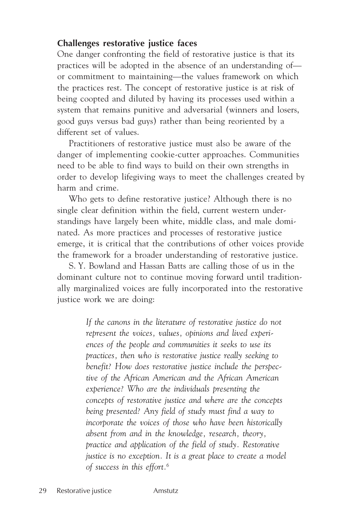## **Challenges restorative justice faces**

One danger confronting the field of restorative justice is that its practices will be adopted in the absence of an understanding of or commitment to maintaining—the values framework on which the practices rest. The concept of restorative justice is at risk of being coopted and diluted by having its processes used within a system that remains punitive and adversarial (winners and losers, good guys versus bad guys) rather than being reoriented by a different set of values.

Practitioners of restorative justice must also be aware of the danger of implementing cookie-cutter approaches. Communities need to be able to find ways to build on their own strengths in order to develop lifegiving ways to meet the challenges created by harm and crime.

Who gets to define restorative justice? Although there is no single clear definition within the field, current western understandings have largely been white, middle class, and male dominated. As more practices and processes of restorative justice emerge, it is critical that the contributions of other voices provide the framework for a broader understanding of restorative justice.

S. Y. Bowland and Hassan Batts are calling those of us in the dominant culture not to continue moving forward until traditionally marginalized voices are fully incorporated into the restorative justice work we are doing:

> *If the canons in the literature of restorative justice do not represent the voices, values, opinions and lived experiences of the people and communities it seeks to use its practices, then who is restorative justice really seeking to benefit? How does restorative justice include the perspective of the African American and the African American experience? Who are the individuals presenting the concepts of restorative justice and where are the concepts being presented? Any field of study must find a way to incorporate the voices of those who have been historically absent from and in the knowledge, research, theory, practice and application of the field of study. Restorative justice is no exception. It is a great place to create a model of success in this effort.*6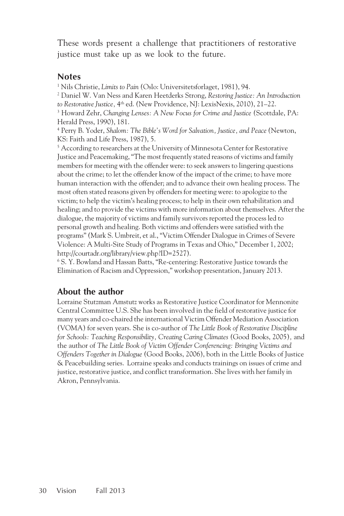These words present a challenge that practitioners of restorative justice must take up as we look to the future.

#### **Notes**

1 Nils Christie, *Limits to Pain* (Oslo: Universitetsforlaget, 1981), 94.

2 Daniel W. Van Ness and Karen Heetderks Strong, *Restoring Justice: An Introduction to Restorative Justice,* 4th ed. (New Providence, NJ: LexisNexis, 2010), 21–22.

3 Howard Zehr, *Changing Lenses: A New Focus for Crime and Justice* (Scottdale, PA: Herald Press, 1990), 181.

4 Perry B. Yoder, *Shalom: The Bible's Word for Salvation, Justice, and Peace* (Newton, KS: Faith and Life Press, 1987), 5.

<sup>5</sup> According to researchers at the University of Minnesota Center for Restorative Justice and Peacemaking, "The most frequently stated reasons of victims and family members for meeting with the offender were: to seek answers to lingering questions about the crime; to let the offender know of the impact of the crime; to have more human interaction with the offender; and to advance their own healing process. The most often stated reasons given by offenders for meeting were: to apologize to the victim; to help the victim's healing process; to help in their own rehabilitation and healing; and to provide the victims with more information about themselves. After the dialogue, the majority of victims and family survivors reported the process led to personal growth and healing. Both victims and offenders were satisfied with the programs" (Mark S. Umbreit, et al., "Victim Offender Dialogue in Crimes of Severe Violence: A Multi-Site Study of Programs in Texas and Ohio," December 1, 2002; http://courtadr.org/library/view.php?ID=2527).

6 S. Y. Bowland and Hassan Batts, "Re-centering: Restorative Justice towards the Elimination of Racism and Oppression," workshop presentation, January 2013.

#### **About the author**

Lorraine Stutzman Amstutz works as Restorative Justice Coordinator for Mennonite Central Committee U.S. She has been involved in the field of restorative justice for many years and co-chaired the international Victim Offender Mediation Association (VOMA) for seven years. She is co-author of *The Little Book of Restorative Discipline for Schools: Teaching Responsibility, Creating Caring Climates* (Good Books, 2005)*,* and the author of *The Little Book of Victim Offender Conferencing: Bringing Victims and Offenders Together in Dialogue* (Good Books, 2006), both in the Little Books of Justice & Peacebuilding series. Lorraine speaks and conducts trainings on issues of crime and justice, restorative justice, and conflict transformation. She lives with her family in Akron, Pennsylvania.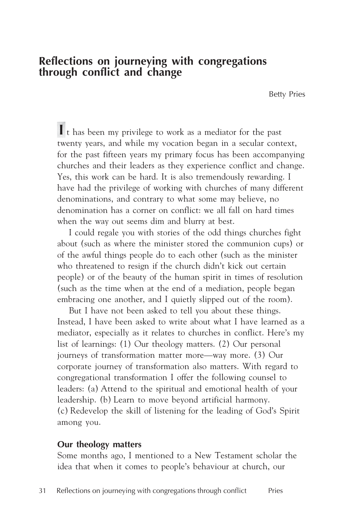# **Reflections on journeying with congregations through conflict and change**

Betty Pries

 **I** t has been my privilege to work as a mediator for the past twenty years, and while my vocation began in a secular context, for the past fifteen years my primary focus has been accompanying churches and their leaders as they experience conflict and change. Yes, this work can be hard. It is also tremendously rewarding. I have had the privilege of working with churches of many different denominations, and contrary to what some may believe, no denomination has a corner on conflict: we all fall on hard times when the way out seems dim and blurry at best.

I could regale you with stories of the odd things churches fight about (such as where the minister stored the communion cups) or of the awful things people do to each other (such as the minister who threatened to resign if the church didn't kick out certain people) or of the beauty of the human spirit in times of resolution (such as the time when at the end of a mediation, people began embracing one another, and I quietly slipped out of the room).

But I have not been asked to tell you about these things. Instead, I have been asked to write about what I have learned as a mediator, especially as it relates to churches in conflict. Here's my list of learnings: (1) Our theology matters. (2) Our personal journeys of transformation matter more—way more. (3) Our corporate journey of transformation also matters. With regard to congregational transformation I offer the following counsel to leaders: (a) Attend to the spiritual and emotional health of your leadership. (b) Learn to move beyond artificial harmony. (c) Redevelop the skill of listening for the leading of God's Spirit among you.

#### **Our theology matters**

Some months ago, I mentioned to a New Testament scholar the idea that when it comes to people's behaviour at church, our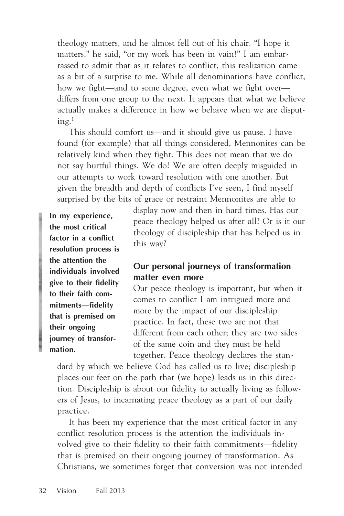theology matters, and he almost fell out of his chair. "I hope it matters," he said, "or my work has been in vain!" I am embarrassed to admit that as it relates to conflict, this realization came as a bit of a surprise to me. While all denominations have conflict, how we fight—and to some degree, even what we fight over differs from one group to the next. It appears that what we believe actually makes a difference in how we behave when we are disput $ine<sup>1</sup>$ 

This should comfort us—and it should give us pause. I have found (for example) that all things considered, Mennonites can be relatively kind when they fight. This does not mean that we do not say hurtful things. We do! We are often deeply misguided in our attempts to work toward resolution with one another. But given the breadth and depth of conflicts I've seen, I find myself surprised by the bits of grace or restraint Mennonites are able to

**In my experience, the most critical factor in a conflict resolution process is the attention the individuals involved give to their fidelity to their faith commitments—fidelity that is premised on their ongoing journey of transformation.**

display now and then in hard times. Has our peace theology helped us after all? Or is it our theology of discipleship that has helped us in this way?

#### **Our personal journeys of transformation matter even more**

Our peace theology is important, but when it comes to conflict I am intrigued more and more by the impact of our discipleship practice. In fact, these two are not that different from each other; they are two sides of the same coin and they must be held together. Peace theology declares the stan-

dard by which we believe God has called us to live; discipleship places our feet on the path that (we hope) leads us in this direction. Discipleship is about our fidelity to actually living as followers of Jesus, to incarnating peace theology as a part of our daily practice.

It has been my experience that the most critical factor in any conflict resolution process is the attention the individuals involved give to their fidelity to their faith commitments—fidelity that is premised on their ongoing journey of transformation. As Christians, we sometimes forget that conversion was not intended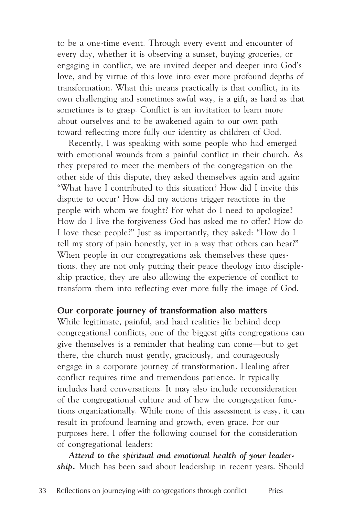to be a one-time event. Through every event and encounter of every day, whether it is observing a sunset, buying groceries, or engaging in conflict, we are invited deeper and deeper into God's love, and by virtue of this love into ever more profound depths of transformation. What this means practically is that conflict, in its own challenging and sometimes awful way, is a gift, as hard as that sometimes is to grasp. Conflict is an invitation to learn more about ourselves and to be awakened again to our own path toward reflecting more fully our identity as children of God.

Recently, I was speaking with some people who had emerged with emotional wounds from a painful conflict in their church. As they prepared to meet the members of the congregation on the other side of this dispute, they asked themselves again and again: "What have I contributed to this situation? How did I invite this dispute to occur? How did my actions trigger reactions in the people with whom we fought? For what do I need to apologize? How do I live the forgiveness God has asked me to offer? How do I love these people?" Just as importantly, they asked: "How do I tell my story of pain honestly, yet in a way that others can hear?" When people in our congregations ask themselves these questions, they are not only putting their peace theology into discipleship practice, they are also allowing the experience of conflict to transform them into reflecting ever more fully the image of God.

#### **Our corporate journey of transformation also matters**

While legitimate, painful, and hard realities lie behind deep congregational conflicts, one of the biggest gifts congregations can give themselves is a reminder that healing can come—but to get there, the church must gently, graciously, and courageously engage in a corporate journey of transformation. Healing after conflict requires time and tremendous patience. It typically includes hard conversations. It may also include reconsideration of the congregational culture and of how the congregation functions organizationally. While none of this assessment is easy, it can result in profound learning and growth, even grace. For our purposes here, I offer the following counsel for the consideration of congregational leaders:

*Attend to the spiritual and emotional health of your leadership.* Much has been said about leadership in recent years. Should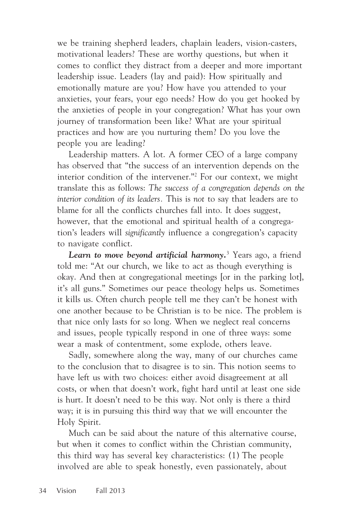we be training shepherd leaders, chaplain leaders, vision-casters, motivational leaders? These are worthy questions, but when it comes to conflict they distract from a deeper and more important leadership issue. Leaders (lay and paid): How spiritually and emotionally mature are you? How have you attended to your anxieties, your fears, your ego needs? How do you get hooked by the anxieties of people in your congregation? What has your own journey of transformation been like? What are your spiritual practices and how are you nurturing them? Do you love the people you are leading?

Leadership matters. A lot. A former CEO of a large company has observed that "the success of an intervention depends on the interior condition of the intervener."2 For our context, we might translate this as follows: *The success of a congregation depends on the interior condition of its leaders.* This is *not* to say that leaders are to blame for all the conflicts churches fall into. It does suggest, however, that the emotional and spiritual health of a congregation's leaders will *significantly* influence a congregation's capacity to navigate conflict.

*Learn to move beyond artificial harmony.*<sup>3</sup> Years ago, a friend told me: "At our church, we like to act as though everything is okay. And then at congregational meetings [or in the parking lot], it's all guns." Sometimes our peace theology helps us. Sometimes it kills us. Often church people tell me they can't be honest with one another because to be Christian is to be nice. The problem is that nice only lasts for so long. When we neglect real concerns and issues, people typically respond in one of three ways: some wear a mask of contentment, some explode, others leave.

Sadly, somewhere along the way, many of our churches came to the conclusion that to disagree is to sin. This notion seems to have left us with two choices: either avoid disagreement at all costs, or when that doesn't work, fight hard until at least one side is hurt. It doesn't need to be this way. Not only is there a third way; it is in pursuing this third way that we will encounter the Holy Spirit.

Much can be said about the nature of this alternative course, but when it comes to conflict within the Christian community, this third way has several key characteristics: (1) The people involved are able to speak honestly, even passionately, about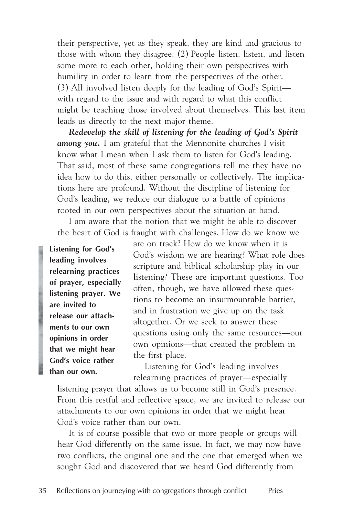their perspective, yet as they speak, they are kind and gracious to those with whom they disagree. (2) People listen, listen, and listen some more to each other, holding their own perspectives with humility in order to learn from the perspectives of the other. (3) All involved listen deeply for the leading of God's Spirit with regard to the issue and with regard to what this conflict might be teaching those involved about themselves. This last item leads us directly to the next major theme.

*Redevelop the skill of listening for the leading of God's Spirit among you.* I am grateful that the Mennonite churches I visit know what I mean when I ask them to listen for God's leading. That said, most of these same congregations tell me they have no idea how to do this, either personally or collectively. The implications here are profound. Without the discipline of listening for God's leading, we reduce our dialogue to a battle of opinions rooted in our own perspectives about the situation at hand.

I am aware that the notion that we might be able to discover the heart of God is fraught with challenges. How do we know we

**Listening for God's leading involves relearning practices of prayer, especially listening prayer. We are invited to release our attachments to our own opinions in order that we might hear God's voice rather than our own.**

are on track? How do we know when it is God's wisdom we are hearing? What role does scripture and biblical scholarship play in our listening? These are important questions. Too often, though, we have allowed these questions to become an insurmountable barrier, and in frustration we give up on the task altogether. Or we seek to answer these questions using only the same resources—our own opinions—that created the problem in the first place.

Listening for God's leading involves relearning practices of prayer—especially

listening prayer that allows us to become still in God's presence. From this restful and reflective space, we are invited to release our attachments to our own opinions in order that we might hear God's voice rather than our own.

It is of course possible that two or more people or groups will hear God differently on the same issue. In fact, we may now have two conflicts, the original one and the one that emerged when we sought God and discovered that we heard God differently from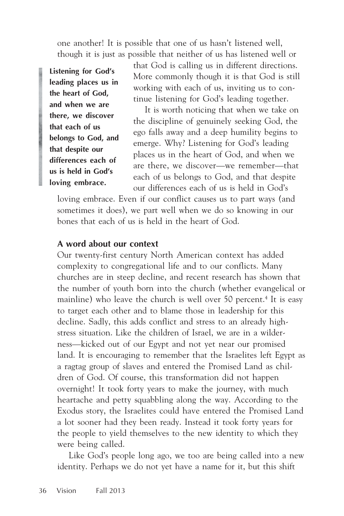one another! It is possible that one of us hasn't listened well, though it is just as possible that neither of us has listened well or

**Listening for God's leading places us in the heart of God, and when we are there, we discover that each of us belongs to God, and that despite our differences each of us is held in God's loving embrace.**

that God is calling us in different directions. More commonly though it is that God is still working with each of us, inviting us to continue listening for God's leading together.

It is worth noticing that when we take on the discipline of genuinely seeking God, the ego falls away and a deep humility begins to emerge. Why? Listening for God's leading places us in the heart of God, and when we are there, we discover—we remember—that each of us belongs to God, and that despite our differences each of us is held in God's

loving embrace. Even if our conflict causes us to part ways (and sometimes it does), we part well when we do so knowing in our bones that each of us is held in the heart of God.

#### **A word about our context**

Our twenty-first century North American context has added complexity to congregational life and to our conflicts. Many churches are in steep decline, and recent research has shown that the number of youth born into the church (whether evangelical or mainline) who leave the church is well over 50 percent.<sup>4</sup> It is easy to target each other and to blame those in leadership for this decline. Sadly, this adds conflict and stress to an already highstress situation. Like the children of Israel, we are in a wilderness—kicked out of our Egypt and not yet near our promised land. It is encouraging to remember that the Israelites left Egypt as a ragtag group of slaves and entered the Promised Land as children of God. Of course, this transformation did not happen overnight! It took forty years to make the journey, with much heartache and petty squabbling along the way. According to the Exodus story, the Israelites could have entered the Promised Land a lot sooner had they been ready. Instead it took forty years for the people to yield themselves to the new identity to which they were being called.

Like God's people long ago, we too are being called into a new identity. Perhaps we do not yet have a name for it, but this shift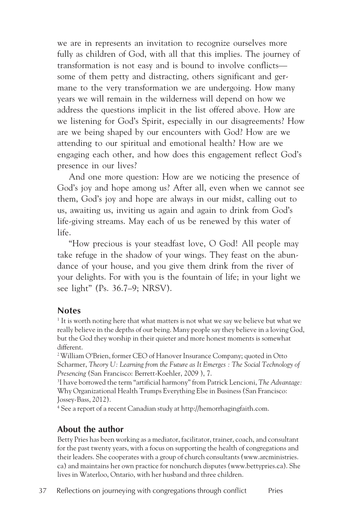we are in represents an invitation to recognize ourselves more fully as children of God, with all that this implies. The journey of transformation is not easy and is bound to involve conflicts some of them petty and distracting, others significant and germane to the very transformation we are undergoing. How many years we will remain in the wilderness will depend on how we address the questions implicit in the list offered above. How are we listening for God's Spirit, especially in our disagreements? How are we being shaped by our encounters with God? How are we attending to our spiritual and emotional health? How are we engaging each other, and how does this engagement reflect God's presence in our lives?

And one more question: How are we noticing the presence of God's joy and hope among us? After all, even when we cannot see them, God's joy and hope are always in our midst, calling out to us, awaiting us, inviting us again and again to drink from God's life-giving streams. May each of us be renewed by this water of life.

"How precious is your steadfast love, O God! All people may take refuge in the shadow of your wings. They feast on the abundance of your house, and you give them drink from the river of your delights. For with you is the fountain of life; in your light we see light" (Ps. 36.7–9; NRSV).

## **Notes**

<sup>1</sup> It is worth noting here that what matters is not what we say we believe but what we really believe in the depths of our being. Many people say they believe in a loving God, but the God they worship in their quieter and more honest moments is somewhat different.

2 William O'Brien, former CEO of Hanover Insurance Company; quoted in Otto Scharmer, *Theory U: Learning from the Future as It Emerges : The Social Technology of Presencing* (San Francisco: Berrett-Koehler, 2009 ), 7.

3 I have borrowed the term "artificial harmony" from Patrick Lencioni, *The Advantage:* Why Organizational Health Trumps Everything Else in Business (San Francisco: Jossey-Bass, 2012).

4 See a report of a recent Canadian study at http://hemorrhagingfaith.com.

# **About the author**

Betty Pries has been working as a mediator, facilitator, trainer, coach, and consultant for the past twenty years, with a focus on supporting the health of congregations and their leaders. She cooperates with a group of church consultants (www.arcministries. ca) and maintains her own practice for nonchurch disputes (www.bettypries.ca). She lives in Waterloo, Ontario, with her husband and three children.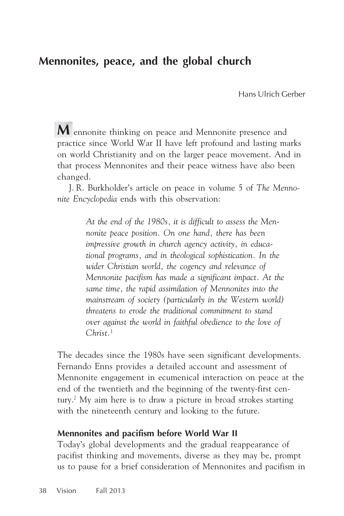# **Mennonites, peace, and the global church**

Hans Ulrich Gerber

**M** ennonite thinking on peace and Mennonite presence and practice since World War II have left profound and lasting marks on world Christianity and on the larger peace movement. And in that process Mennonites and their peace witness have also been changed.

J. R. Burkholder's article on peace in volume 5 of *The Mennonite Encyclopedia* ends with this observation:

> *At the end of the 1980s, it is difficult to assess the Mennonite peace position. On one hand, there has been impressive growth in church agency activity, in educational programs, and in theological sophistication. In the wider Christian world, the cogency and relevance of Mennonite pacifism has made a significant impact. At the same time, the rapid assimilation of Mennonites into the mainstream of society (particularly in the Western world) threatens to erode the traditional commitment to stand over against the world in faithful obedience to the love of Christ.*<sup>1</sup>

The decades since the 1980s have seen significant developments. Fernando Enns provides a detailed account and assessment of Mennonite engagement in ecumenical interaction on peace at the end of the twentieth and the beginning of the twenty-first century.2 My aim here is to draw a picture in broad strokes starting with the nineteenth century and looking to the future.

## **Mennonites and pacifism before World War II**

Today's global developments and the gradual reappearance of pacifist thinking and movements, diverse as they may be, prompt us to pause for a brief consideration of Mennonites and pacifism in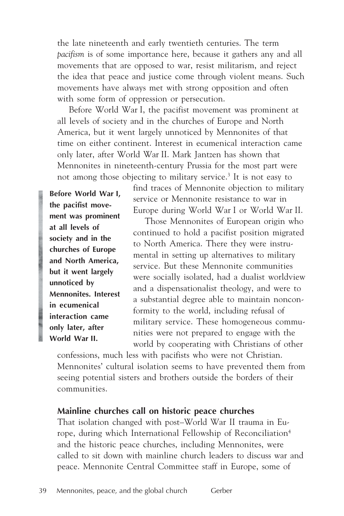the late nineteenth and early twentieth centuries. The term *pacifism* is of some importance here, because it gathers any and all movements that are opposed to war, resist militarism, and reject the idea that peace and justice come through violent means. Such movements have always met with strong opposition and often with some form of oppression or persecution.

Before World War I, the pacifist movement was prominent at all levels of society and in the churches of Europe and North America, but it went largely unnoticed by Mennonites of that time on either continent. Interest in ecumenical interaction came only later, after World War II. Mark Jantzen has shown that Mennonites in nineteenth-century Prussia for the most part were not among those objecting to military service.<sup>3</sup> It is not easy to

**Before World War I, the pacifist movement was prominent at all levels of society and in the churches of Europe and North America, but it went largely unnoticed by Mennonites. Interest in ecumenical interaction came only later, after World War II.**

find traces of Mennonite objection to military service or Mennonite resistance to war in Europe during World War I or World War II.

Those Mennonites of European origin who continued to hold a pacifist position migrated to North America. There they were instrumental in setting up alternatives to military service. But these Mennonite communities were socially isolated, had a dualist worldview and a dispensationalist theology, and were to a substantial degree able to maintain nonconformity to the world, including refusal of military service. These homogeneous communities were not prepared to engage with the world by cooperating with Christians of other

confessions, much less with pacifists who were not Christian. Mennonites' cultural isolation seems to have prevented them from seeing potential sisters and brothers outside the borders of their communities.

#### **Mainline churches call on historic peace churches**

That isolation changed with post–World War II trauma in Europe, during which International Fellowship of Reconciliation<sup>4</sup> and the historic peace churches, including Mennonites, were called to sit down with mainline church leaders to discuss war and peace. Mennonite Central Committee staff in Europe, some of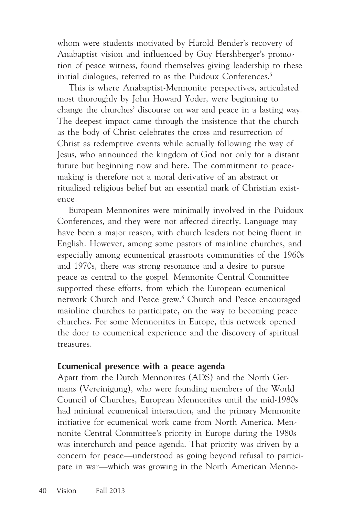whom were students motivated by Harold Bender's recovery of Anabaptist vision and influenced by Guy Hershberger's promotion of peace witness, found themselves giving leadership to these initial dialogues, referred to as the Puidoux Conferences.<sup>5</sup>

This is where Anabaptist-Mennonite perspectives, articulated most thoroughly by John Howard Yoder, were beginning to change the churches' discourse on war and peace in a lasting way. The deepest impact came through the insistence that the church as the body of Christ celebrates the cross and resurrection of Christ as redemptive events while actually following the way of Jesus, who announced the kingdom of God not only for a distant future but beginning now and here. The commitment to peacemaking is therefore not a moral derivative of an abstract or ritualized religious belief but an essential mark of Christian existence.

European Mennonites were minimally involved in the Puidoux Conferences, and they were not affected directly. Language may have been a major reason, with church leaders not being fluent in English. However, among some pastors of mainline churches, and especially among ecumenical grassroots communities of the 1960s and 1970s, there was strong resonance and a desire to pursue peace as central to the gospel. Mennonite Central Committee supported these efforts, from which the European ecumenical network Church and Peace grew.6 Church and Peace encouraged mainline churches to participate, on the way to becoming peace churches. For some Mennonites in Europe, this network opened the door to ecumenical experience and the discovery of spiritual treasures.

#### **Ecumenical presence with a peace agenda**

Apart from the Dutch Mennonites (ADS) and the North Germans (Vereinigung), who were founding members of the World Council of Churches, European Mennonites until the mid-1980s had minimal ecumenical interaction, and the primary Mennonite initiative for ecumenical work came from North America. Mennonite Central Committee's priority in Europe during the 1980s was interchurch and peace agenda. That priority was driven by a concern for peace—understood as going beyond refusal to participate in war—which was growing in the North American Menno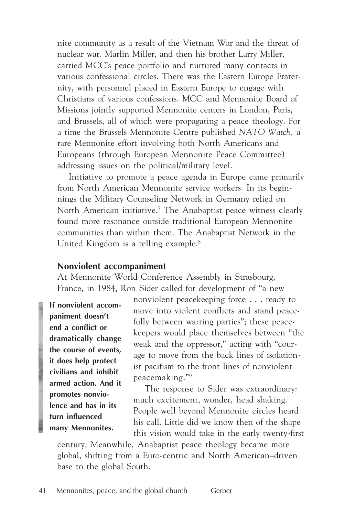nite community as a result of the Vietnam War and the threat of nuclear war. Marlin Miller, and then his brother Larry Miller, carried MCC's peace portfolio and nurtured many contacts in various confessional circles. There was the Eastern Europe Fraternity, with personnel placed in Eastern Europe to engage with Christians of various confessions. MCC and Mennonite Board of Missions jointly supported Mennonite centers in London, Paris, and Brussels, all of which were propagating a peace theology. For a time the Brussels Mennonite Centre published *NATO Watch,* a rare Mennonite effort involving both North Americans and Europeans (through European Mennonite Peace Committee) addressing issues on the political/military level.

Initiative to promote a peace agenda in Europe came primarily from North American Mennonite service workers. In its beginnings the Military Counseling Network in Germany relied on North American initiative.<sup>7</sup> The Anabaptist peace witness clearly found more resonance outside traditional European Mennonite communities than within them. The Anabaptist Network in the United Kingdom is a telling example.<sup>8</sup>

#### **Nonviolent accompaniment**

At Mennonite World Conference Assembly in Strasbourg, France, in 1984, Ron Sider called for development of "a new

**If nonviolent accompaniment doesn't end a conflict or dramatically change the course of events, it does help protect civilians and inhibit armed action. And it promotes nonviolence and has in its turn influenced many Mennonites.**

nonviolent peacekeeping force . . . ready to move into violent conflicts and stand peacefully between warring parties"; these peacekeepers would place themselves between "the weak and the oppressor," acting with "courage to move from the back lines of isolationist pacifism to the front lines of nonviolent peacemaking."9

The response to Sider was extraordinary: much excitement, wonder, head shaking. People well beyond Mennonite circles heard his call. Little did we know then of the shape this vision would take in the early twenty-first

century. Meanwhile, Anabaptist peace theology became more global, shifting from a Euro-centric and North American–driven base to the global South.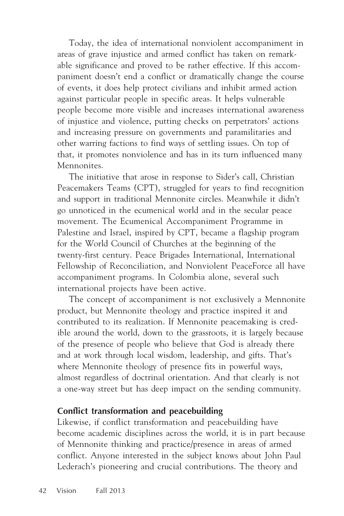Today, the idea of international nonviolent accompaniment in areas of grave injustice and armed conflict has taken on remarkable significance and proved to be rather effective. If this accompaniment doesn't end a conflict or dramatically change the course of events, it does help protect civilians and inhibit armed action against particular people in specific areas. It helps vulnerable people become more visible and increases international awareness of injustice and violence, putting checks on perpetrators' actions and increasing pressure on governments and paramilitaries and other warring factions to find ways of settling issues. On top of that, it promotes nonviolence and has in its turn influenced many Mennonites.

The initiative that arose in response to Sider's call, Christian Peacemakers Teams (CPT), struggled for years to find recognition and support in traditional Mennonite circles. Meanwhile it didn't go unnoticed in the ecumenical world and in the secular peace movement. The Ecumenical Accompaniment Programme in Palestine and Israel, inspired by CPT, became a flagship program for the World Council of Churches at the beginning of the twenty-first century. Peace Brigades International, International Fellowship of Reconciliation, and Nonviolent PeaceForce all have accompaniment programs. In Colombia alone, several such international projects have been active.

The concept of accompaniment is not exclusively a Mennonite product, but Mennonite theology and practice inspired it and contributed to its realization. If Mennonite peacemaking is credible around the world, down to the grassroots, it is largely because of the presence of people who believe that God is already there and at work through local wisdom, leadership, and gifts. That's where Mennonite theology of presence fits in powerful ways, almost regardless of doctrinal orientation. And that clearly is not a one-way street but has deep impact on the sending community.

# **Conflict transformation and peacebuilding**

Likewise, if conflict transformation and peacebuilding have become academic disciplines across the world, it is in part because of Mennonite thinking and practice/presence in areas of armed conflict. Anyone interested in the subject knows about John Paul Lederach's pioneering and crucial contributions. The theory and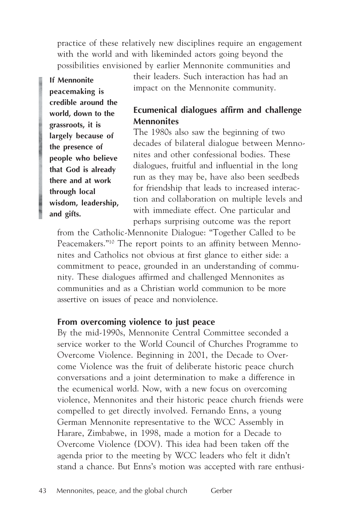practice of these relatively new disciplines require an engagement with the world and with likeminded actors going beyond the possibilities envisioned by earlier Mennonite communities and

**If Mennonite peacemaking is credible around the world, down to the grassroots, it is largely because of the presence of people who believe that God is already there and at work through local wisdom, leadership, and gifts.**

their leaders. Such interaction has had an impact on the Mennonite community.

# **Ecumenical dialogues affirm and challenge Mennonites**

The 1980s also saw the beginning of two decades of bilateral dialogue between Mennonites and other confessional bodies. These dialogues, fruitful and influential in the long run as they may be, have also been seedbeds for friendship that leads to increased interaction and collaboration on multiple levels and with immediate effect. One particular and perhaps surprising outcome was the report

from the Catholic-Mennonite Dialogue: "Together Called to be Peacemakers."<sup>10</sup> The report points to an affinity between Mennonites and Catholics not obvious at first glance to either side: a commitment to peace, grounded in an understanding of community. These dialogues affirmed and challenged Mennonites as communities and as a Christian world communion to be more assertive on issues of peace and nonviolence.

# **From overcoming violence to just peace**

By the mid-1990s, Mennonite Central Committee seconded a service worker to the World Council of Churches Programme to Overcome Violence. Beginning in 2001, the Decade to Overcome Violence was the fruit of deliberate historic peace church conversations and a joint determination to make a difference in the ecumenical world. Now, with a new focus on overcoming violence, Mennonites and their historic peace church friends were compelled to get directly involved. Fernando Enns, a young German Mennonite representative to the WCC Assembly in Harare, Zimbabwe, in 1998, made a motion for a Decade to Overcome Violence (DOV). This idea had been taken off the agenda prior to the meeting by WCC leaders who felt it didn't stand a chance. But Enns's motion was accepted with rare enthusi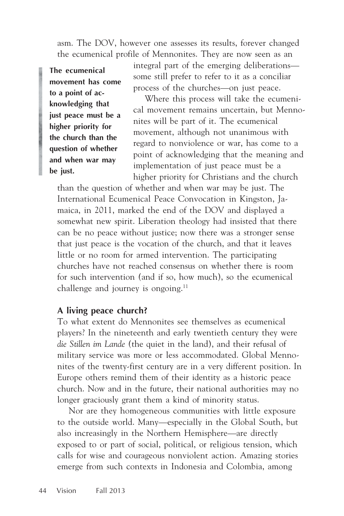asm. The DOV, however one assesses its results, forever changed the ecumenical profile of Mennonites. They are now seen as an

**The ecumenical movement has come to a point of acknowledging that just peace must be a higher priority for the church than the question of whether and when war may be just.**

integral part of the emerging deliberations some still prefer to refer to it as a conciliar process of the churches—on just peace.

Where this process will take the ecumenical movement remains uncertain, but Mennonites will be part of it. The ecumenical movement, although not unanimous with regard to nonviolence or war, has come to a point of acknowledging that the meaning and implementation of just peace must be a higher priority for Christians and the church

than the question of whether and when war may be just. The International Ecumenical Peace Convocation in Kingston, Jamaica, in 2011, marked the end of the DOV and displayed a somewhat new spirit. Liberation theology had insisted that there can be no peace without justice; now there was a stronger sense that just peace is the vocation of the church, and that it leaves little or no room for armed intervention. The participating churches have not reached consensus on whether there is room for such intervention (and if so, how much), so the ecumenical challenge and journey is ongoing.<sup>11</sup>

## **A living peace church?**

To what extent do Mennonites see themselves as ecumenical players? In the nineteenth and early twentieth century they were *die Stillen im Lande* (the quiet in the land), and their refusal of military service was more or less accommodated. Global Mennonites of the twenty-first century are in a very different position. In Europe others remind them of their identity as a historic peace church. Now and in the future, their national authorities may no longer graciously grant them a kind of minority status.

Nor are they homogeneous communities with little exposure to the outside world. Many—especially in the Global South, but also increasingly in the Northern Hemisphere—are directly exposed to or part of social, political, or religious tension, which calls for wise and courageous nonviolent action. Amazing stories emerge from such contexts in Indonesia and Colombia, among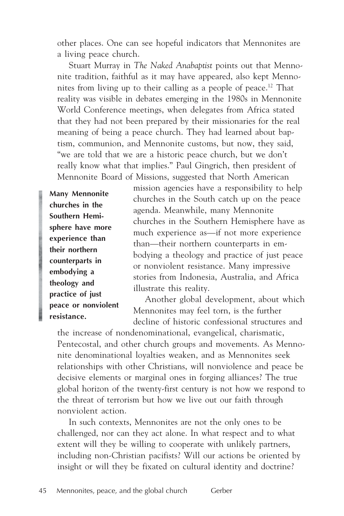other places. One can see hopeful indicators that Mennonites are a living peace church.

Stuart Murray in *The Naked Anabaptist* points out that Mennonite tradition, faithful as it may have appeared, also kept Mennonites from living up to their calling as a people of peace.<sup>12</sup> That reality was visible in debates emerging in the 1980s in Mennonite World Conference meetings, when delegates from Africa stated that they had not been prepared by their missionaries for the real meaning of being a peace church. They had learned about baptism, communion, and Mennonite customs, but now, they said, "we are told that we are a historic peace church, but we don't really know what that implies." Paul Gingrich, then president of Mennonite Board of Missions, suggested that North American

**Many Mennonite churches in the Southern Hemisphere have more experience than their northern counterparts in embodying a theology and practice of just peace or nonviolent resistance.**

mission agencies have a responsibility to help churches in the South catch up on the peace agenda. Meanwhile, many Mennonite churches in the Southern Hemisphere have as much experience as—if not more experience than—their northern counterparts in embodying a theology and practice of just peace or nonviolent resistance. Many impressive stories from Indonesia, Australia, and Africa illustrate this reality.

Another global development, about which Mennonites may feel torn, is the further decline of historic confessional structures and

the increase of nondenominational, evangelical, charismatic, Pentecostal, and other church groups and movements. As Mennonite denominational loyalties weaken, and as Mennonites seek relationships with other Christians, will nonviolence and peace be decisive elements or marginal ones in forging alliances? The true global horizon of the twenty-first century is not how we respond to the threat of terrorism but how we live out our faith through nonviolent action.

In such contexts, Mennonites are not the only ones to be challenged, nor can they act alone. In what respect and to what extent will they be willing to cooperate with unlikely partners, including non-Christian pacifists? Will our actions be oriented by insight or will they be fixated on cultural identity and doctrine?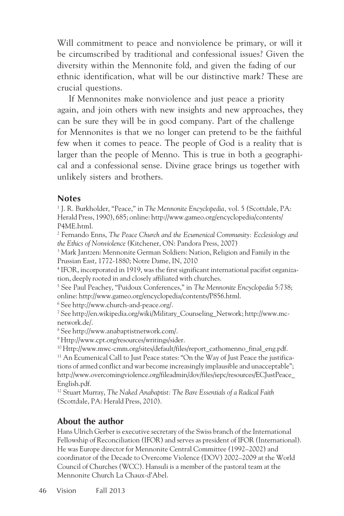Will commitment to peace and nonviolence be primary, or will it be circumscribed by traditional and confessional issues? Given the diversity within the Mennonite fold, and given the fading of our ethnic identification, what will be our distinctive mark? These are crucial questions.

If Mennonites make nonviolence and just peace a priority again, and join others with new insights and new approaches, they can be sure they will be in good company. Part of the challenge for Mennonites is that we no longer can pretend to be the faithful few when it comes to peace. The people of God is a reality that is larger than the people of Menno. This is true in both a geographical and a confessional sense. Divine grace brings us together with unlikely sisters and brothers.

#### **Notes**

<sup>1</sup> J. R. Burkholder, "Peace," in *The Mennonite Encyclopedia*, vol. 5 (Scottdale, PA: Herald Press, 1990), 685; online: http://www.gameo.org/encyclopedia/contents/ P4ME.html.

2 Fernando Enns, *The Peace Church and the Ecumenical Community: Ecclesiology and the Ethics of Nonviolence* (Kitchener, ON: Pandora Press, 2007)

<sup>3</sup> Mark Jantzen: Mennonite German Soldiers: Nation, Religion and Family in the Prussian East, 1772-1880; Notre Dame, IN, 2010

4 IFOR, incorporated in 1919, was the first significant international pacifist organization, deeply rooted in and closely affiliated with churches.

5 See Paul Peachey, "Puidoux Conferences," in *The Mennonite Encyclopedia* 5:738; online: http://www.gameo.org/encyclopedia/contents/P856.html.

6 See http://www.church-and-peace.org/.

7 See http://en.wikipedia.org/wiki/Military\_Counseling\_Network; http://www.mcnetwork.de/.

8 See http://www.anabaptistnetwork.com/.

9 Http://www.cpt.org/resources/writings/sider.

<sup>10</sup> Http://www.mwc-cmm.org/sites/default/files/report\_cathomenno\_final\_eng.pdf.  $11$  An Ecumenical Call to Just Peace states: "On the Way of Just Peace the justifications of armed conflict and war become increasingly implausible and unacceptable"; http://www.overcomingviolence.org/fileadmin/dov/files/iepc/resources/ECJustPeace\_ English.pdf.

12 Stuart Murray, *The Naked Anabaptist: The Bare Essentials of a Radical Faith* (Scottdale, PA: Herald Press, 2010).

## **About the author**

Hans Ulrich Gerber is executive secretary of the Swiss branch of the International Fellowship of Reconciliation (IFOR) and serves as president of IFOR (International). He was Europe director for Mennonite Central Committee (1992–2002) and coordinator of the Decade to Overcome Violence (DOV) 2002–2009 at the World Council of Churches (WCC). Hansuli is a member of the pastoral team at the Mennonite Church La Chaux-d'Abel.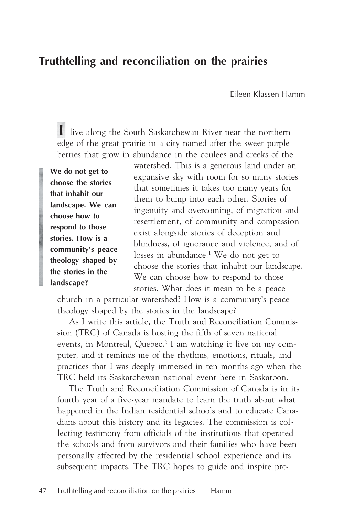# **Truthtelling and reconciliation on the prairies**

Eileen Klassen Hamm

 **I** live along the South Saskatchewan River near the northern edge of the great prairie in a city named after the sweet purple berries that grow in abundance in the coulees and creeks of the

**We do not get to choose the stories that inhabit our landscape. We can choose how to respond to those stories. How is a community's peace theology shaped by the stories in the landscape?**

watershed. This is a generous land under an expansive sky with room for so many stories that sometimes it takes too many years for them to bump into each other. Stories of ingenuity and overcoming, of migration and resettlement, of community and compassion exist alongside stories of deception and blindness, of ignorance and violence, and of losses in abundance.<sup>1</sup> We do not get to choose the stories that inhabit our landscape. We can choose how to respond to those stories. What does it mean to be a peace

church in a particular watershed? How is a community's peace theology shaped by the stories in the landscape?

As I write this article, the Truth and Reconciliation Commission (TRC) of Canada is hosting the fifth of seven national events, in Montreal, Quebec.<sup>2</sup> I am watching it live on my computer, and it reminds me of the rhythms, emotions, rituals, and practices that I was deeply immersed in ten months ago when the TRC held its Saskatchewan national event here in Saskatoon.

The Truth and Reconciliation Commission of Canada is in its fourth year of a five-year mandate to learn the truth about what happened in the Indian residential schools and to educate Canadians about this history and its legacies. The commission is collecting testimony from officials of the institutions that operated the schools and from survivors and their families who have been personally affected by the residential school experience and its subsequent impacts. The TRC hopes to guide and inspire pro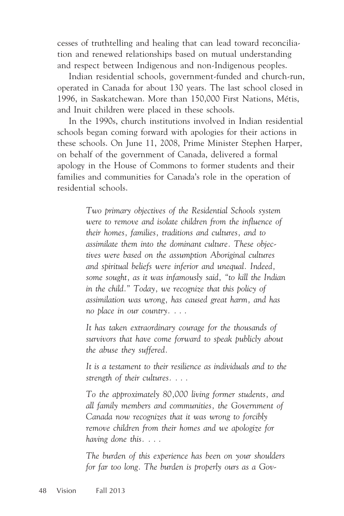cesses of truthtelling and healing that can lead toward reconciliation and renewed relationships based on mutual understanding and respect between Indigenous and non-Indigenous peoples.

Indian residential schools, government-funded and church-run, operated in Canada for about 130 years. The last school closed in 1996, in Saskatchewan. More than 150,000 First Nations, Métis, and Inuit children were placed in these schools.

In the 1990s, church institutions involved in Indian residential schools began coming forward with apologies for their actions in these schools. On June 11, 2008, Prime Minister Stephen Harper, on behalf of the government of Canada, delivered a formal apology in the House of Commons to former students and their families and communities for Canada's role in the operation of residential schools.

> *Two primary objectives of the Residential Schools system were to remove and isolate children from the influence of their homes, families, traditions and cultures, and to assimilate them into the dominant culture. These objectives were based on the assumption Aboriginal cultures and spiritual beliefs were inferior and unequal. Indeed, some sought, as it was infamously said, "to kill the Indian in the child." Today, we recognize that this policy of assimilation was wrong, has caused great harm, and has no place in our country. . . .*

*It has taken extraordinary courage for the thousands of survivors that have come forward to speak publicly about the abuse they suffered.*

*It is a testament to their resilience as individuals and to the strength of their cultures. . . .*

*To the approximately 80,000 living former students, and all family members and communities, the Government of Canada now recognizes that it was wrong to forcibly remove children from their homes and we apologize for having done this. . . .*

*The burden of this experience has been on your shoulders for far too long. The burden is properly ours as a Gov-*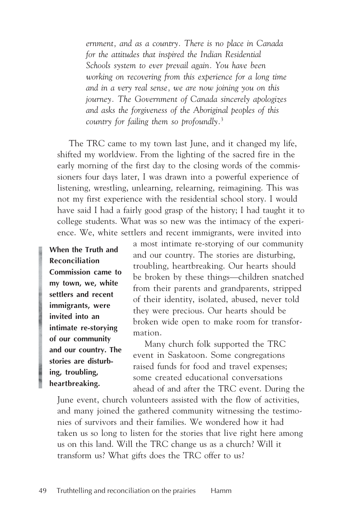*ernment, and as a country. There is no place in Canada for the attitudes that inspired the Indian Residential Schools system to ever prevail again. You have been working on recovering from this experience for a long time and in a very real sense, we are now joining you on this journey. The Government of Canada sincerely apologizes and asks the forgiveness of the Aboriginal peoples of this country for failing them so profoundly.*<sup>3</sup>

The TRC came to my town last June, and it changed my life, shifted my worldview. From the lighting of the sacred fire in the early morning of the first day to the closing words of the commissioners four days later, I was drawn into a powerful experience of listening, wrestling, unlearning, relearning, reimagining. This was not my first experience with the residential school story. I would have said I had a fairly good grasp of the history; I had taught it to college students. What was so new was the intimacy of the experience. We, white settlers and recent immigrants, were invited into

**When the Truth and Reconciliation Commission came to my town, we, white settlers and recent immigrants, were invited into an intimate re-storying of our community and our country. The stories are disturbing, troubling, heartbreaking.**

a most intimate re-storying of our community and our country. The stories are disturbing, troubling, heartbreaking. Our hearts should be broken by these things—children snatched from their parents and grandparents, stripped of their identity, isolated, abused, never told they were precious. Our hearts should be broken wide open to make room for transformation.

Many church folk supported the TRC event in Saskatoon. Some congregations raised funds for food and travel expenses; some created educational conversations ahead of and after the TRC event. During the

June event, church volunteers assisted with the flow of activities, and many joined the gathered community witnessing the testimonies of survivors and their families. We wondered how it had taken us so long to listen for the stories that live right here among us on this land. Will the TRC change us as a church? Will it transform us? What gifts does the TRC offer to us?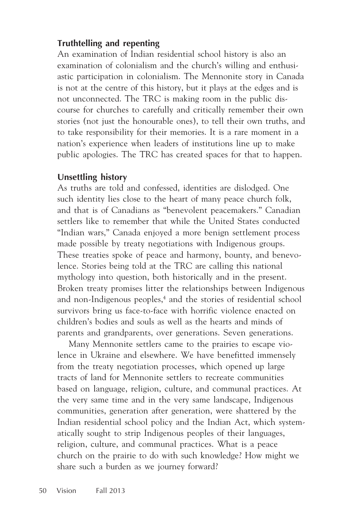# **Truthtelling and repenting**

An examination of Indian residential school history is also an examination of colonialism and the church's willing and enthusiastic participation in colonialism. The Mennonite story in Canada is not at the centre of this history, but it plays at the edges and is not unconnected. The TRC is making room in the public discourse for churches to carefully and critically remember their own stories (not just the honourable ones), to tell their own truths, and to take responsibility for their memories. It is a rare moment in a nation's experience when leaders of institutions line up to make public apologies. The TRC has created spaces for that to happen.

# **Unsettling history**

As truths are told and confessed, identities are dislodged. One such identity lies close to the heart of many peace church folk, and that is of Canadians as "benevolent peacemakers." Canadian settlers like to remember that while the United States conducted "Indian wars," Canada enjoyed a more benign settlement process made possible by treaty negotiations with Indigenous groups. These treaties spoke of peace and harmony, bounty, and benevolence. Stories being told at the TRC are calling this national mythology into question, both historically and in the present. Broken treaty promises litter the relationships between Indigenous and non-Indigenous peoples,<sup>4</sup> and the stories of residential school survivors bring us face-to-face with horrific violence enacted on children's bodies and souls as well as the hearts and minds of parents and grandparents, over generations. Seven generations.

Many Mennonite settlers came to the prairies to escape violence in Ukraine and elsewhere. We have benefitted immensely from the treaty negotiation processes, which opened up large tracts of land for Mennonite settlers to recreate communities based on language, religion, culture, and communal practices. At the very same time and in the very same landscape, Indigenous communities, generation after generation, were shattered by the Indian residential school policy and the Indian Act, which systematically sought to strip Indigenous peoples of their languages, religion, culture, and communal practices. What is a peace church on the prairie to do with such knowledge? How might we share such a burden as we journey forward?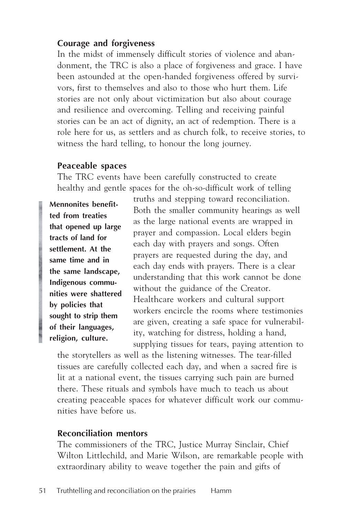# **Courage and forgiveness**

In the midst of immensely difficult stories of violence and abandonment, the TRC is also a place of forgiveness and grace. I have been astounded at the open-handed forgiveness offered by survivors, first to themselves and also to those who hurt them. Life stories are not only about victimization but also about courage and resilience and overcoming. Telling and receiving painful stories can be an act of dignity, an act of redemption. There is a role here for us, as settlers and as church folk, to receive stories, to witness the hard telling, to honour the long journey.

## **Peaceable spaces**

The TRC events have been carefully constructed to create healthy and gentle spaces for the oh-so-difficult work of telling

**Mennonites benefitted from treaties that opened up large tracts of land for settlement. At the same time and in the same landscape, Indigenous communities were shattered by policies that sought to strip them of their languages, religion, culture.**

truths and stepping toward reconciliation. Both the smaller community hearings as well as the large national events are wrapped in prayer and compassion. Local elders begin each day with prayers and songs. Often prayers are requested during the day, and each day ends with prayers. There is a clear understanding that this work cannot be done without the guidance of the Creator. Healthcare workers and cultural support workers encircle the rooms where testimonies are given, creating a safe space for vulnerability, watching for distress, holding a hand, supplying tissues for tears, paying attention to

the storytellers as well as the listening witnesses. The tear-filled tissues are carefully collected each day, and when a sacred fire is lit at a national event, the tissues carrying such pain are burned there. These rituals and symbols have much to teach us about creating peaceable spaces for whatever difficult work our communities have before us.

## **Reconciliation mentors**

The commissioners of the TRC, Justice Murray Sinclair, Chief Wilton Littlechild, and Marie Wilson, are remarkable people with extraordinary ability to weave together the pain and gifts of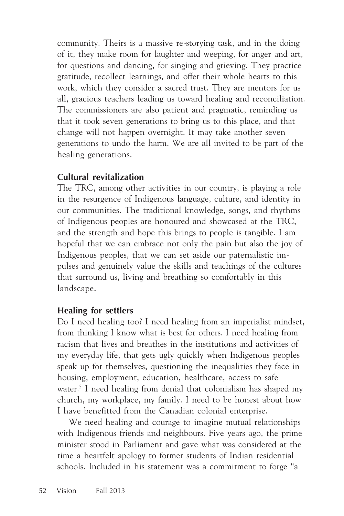community. Theirs is a massive re-storying task, and in the doing of it, they make room for laughter and weeping, for anger and art, for questions and dancing, for singing and grieving. They practice gratitude, recollect learnings, and offer their whole hearts to this work, which they consider a sacred trust. They are mentors for us all, gracious teachers leading us toward healing and reconciliation. The commissioners are also patient and pragmatic, reminding us that it took seven generations to bring us to this place, and that change will not happen overnight. It may take another seven generations to undo the harm. We are all invited to be part of the healing generations.

# **Cultural revitalization**

The TRC, among other activities in our country, is playing a role in the resurgence of Indigenous language, culture, and identity in our communities. The traditional knowledge, songs, and rhythms of Indigenous peoples are honoured and showcased at the TRC, and the strength and hope this brings to people is tangible. I am hopeful that we can embrace not only the pain but also the joy of Indigenous peoples, that we can set aside our paternalistic impulses and genuinely value the skills and teachings of the cultures that surround us, living and breathing so comfortably in this landscape.

# **Healing for settlers**

Do I need healing too? I need healing from an imperialist mindset, from thinking I know what is best for others. I need healing from racism that lives and breathes in the institutions and activities of my everyday life, that gets ugly quickly when Indigenous peoples speak up for themselves, questioning the inequalities they face in housing, employment, education, healthcare, access to safe water.5 I need healing from denial that colonialism has shaped my church, my workplace, my family. I need to be honest about how I have benefitted from the Canadian colonial enterprise.

We need healing and courage to imagine mutual relationships with Indigenous friends and neighbours. Five years ago, the prime minister stood in Parliament and gave what was considered at the time a heartfelt apology to former students of Indian residential schools. Included in his statement was a commitment to forge "a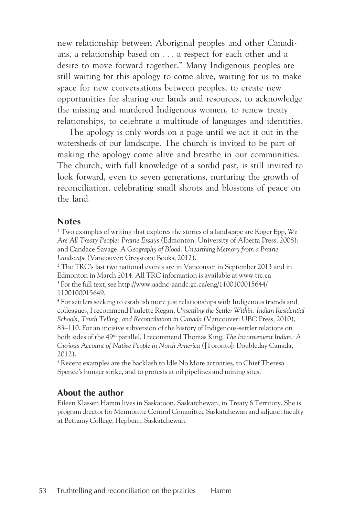new relationship between Aboriginal peoples and other Canadians, a relationship based on . . . a respect for each other and a desire to move forward together." Many Indigenous peoples are still waiting for this apology to come alive, waiting for us to make space for new conversations between peoples, to create new opportunities for sharing our lands and resources, to acknowledge the missing and murdered Indigenous women, to renew treaty relationships, to celebrate a multitude of languages and identities.

The apology is only words on a page until we act it out in the watersheds of our landscape. The church is invited to be part of making the apology come alive and breathe in our communities. The church, with full knowledge of a sordid past, is still invited to look forward, even to seven generations, nurturing the growth of reconciliation, celebrating small shoots and blossoms of peace on the land.

#### **Notes**

1 Two examples of writing that explores the stories of a landscape are Roger Epp, *We Are All Treaty People: Prairie Essays* (Edmonton: University of Alberta Press, 2008); and Candace Savage, *A Geography of Blood: Unearthing Memory from a Prairie Landscape* (Vancouver: Greystone Books, 2012).

2 The TRC's last two national events are in Vancouver in September 2013 and in Edmonton in March 2014. All TRC information is available at www.trc.ca. 3 For the full text, see http://www.aadnc-aandc.gc.ca/eng/1100100015644/ 1100100015649.

4 For settlers seeking to establish more just relationships with Indigenous friends and colleagues, I recommend Paulette Regan, *Unsettling the Settler Within: Indian Residential Schools, Truth Telling, and Reconciliation in Canada* (Vancouver: UBC Press, 2010), 83–110. For an incisive subversion of the history of Indigenous-settler relations on both sides of the 49<sup>th</sup> parallel, I recommend Thomas King, *The Inconvenient Indian: A Curious Account of Native People in North America* ([Toronto]: Doubleday Canada, 2012).

<sup>5</sup> Recent examples are the backlash to Idle No More activities, to Chief Theresa Spence's hunger strike, and to protests at oil pipelines and mining sites.

#### **About the author**

Eileen Klassen Hamm lives in Saskatoon, Saskatchewan, in Treaty 6 Territory. She is program drector for Mennonite Central Committee Saskatchewan and adjunct faculty at Bethany College, Hepburn, Saskatchewan.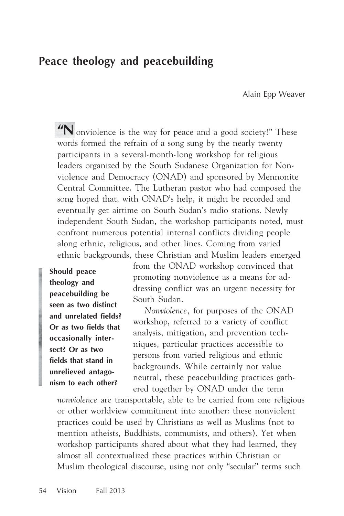# **Peace theology and peacebuilding**

Alain Epp Weaver

onviolence is the way for peace and a good society!" These **"N**words formed the refrain of a song sung by the nearly twenty participants in a several-month-long workshop for religious leaders organized by the South Sudanese Organization for Nonviolence and Democracy (ONAD) and sponsored by Mennonite Central Committee. The Lutheran pastor who had composed the song hoped that, with ONAD's help, it might be recorded and eventually get airtime on South Sudan's radio stations. Newly independent South Sudan, the workshop participants noted, must confront numerous potential internal conflicts dividing people along ethnic, religious, and other lines. Coming from varied ethnic backgrounds, these Christian and Muslim leaders emerged

**Should peace theology and peacebuilding be seen as two distinct and unrelated fields? Or as two fields that occasionally intersect? Or as two fields that stand in unrelieved antagonism to each other?**

from the ONAD workshop convinced that promoting nonviolence as a means for addressing conflict was an urgent necessity for South Sudan.

*Nonviolence,* for purposes of the ONAD workshop, referred to a variety of conflict analysis, mitigation, and prevention techniques, particular practices accessible to persons from varied religious and ethnic backgrounds. While certainly not value neutral, these peacebuilding practices gathered together by ONAD under the term

*nonviolence* are transportable, able to be carried from one religious or other worldview commitment into another: these nonviolent practices could be used by Christians as well as Muslims (not to mention atheists, Buddhists, communists, and others). Yet when workshop participants shared about what they had learned, they almost all contextualized these practices within Christian or Muslim theological discourse, using not only "secular" terms such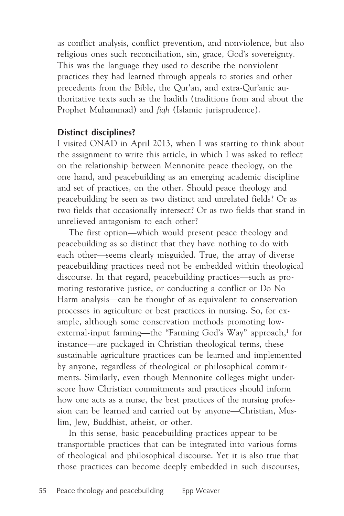as conflict analysis, conflict prevention, and nonviolence, but also religious ones such reconciliation, sin, grace, God's sovereignty. This was the language they used to describe the nonviolent practices they had learned through appeals to stories and other precedents from the Bible, the Qur'an, and extra-Qur'anic authoritative texts such as the hadith (traditions from and about the Prophet Muhammad) and *fiqh* (Islamic jurisprudence).

# **Distinct disciplines?**

I visited ONAD in April 2013, when I was starting to think about the assignment to write this article, in which I was asked to reflect on the relationship between Mennonite peace theology, on the one hand, and peacebuilding as an emerging academic discipline and set of practices, on the other. Should peace theology and peacebuilding be seen as two distinct and unrelated fields? Or as two fields that occasionally intersect? Or as two fields that stand in unrelieved antagonism to each other?

The first option—which would present peace theology and peacebuilding as so distinct that they have nothing to do with each other—seems clearly misguided. True, the array of diverse peacebuilding practices need not be embedded within theological discourse. In that regard, peacebuilding practices—such as promoting restorative justice, or conducting a conflict or Do No Harm analysis—can be thought of as equivalent to conservation processes in agriculture or best practices in nursing. So, for example, although some conservation methods promoting lowexternal-input farming—the "Farming God's Way" approach,<sup>1</sup> for instance—are packaged in Christian theological terms, these sustainable agriculture practices can be learned and implemented by anyone, regardless of theological or philosophical commitments. Similarly, even though Mennonite colleges might underscore how Christian commitments and practices should inform how one acts as a nurse, the best practices of the nursing profession can be learned and carried out by anyone—Christian, Muslim, Jew, Buddhist, atheist, or other.

In this sense, basic peacebuilding practices appear to be transportable practices that can be integrated into various forms of theological and philosophical discourse. Yet it is also true that those practices can become deeply embedded in such discourses,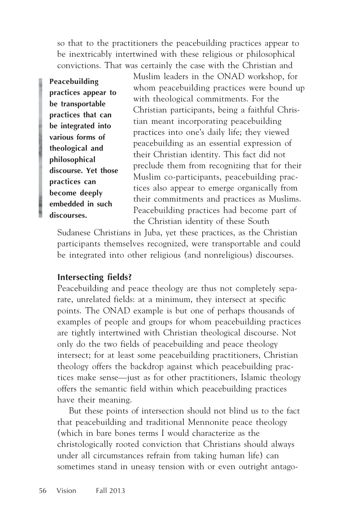so that to the practitioners the peacebuilding practices appear to be inextricably intertwined with these religious or philosophical convictions. That was certainly the case with the Christian and

**Peacebuilding practices appear to be transportable practices that can be integrated into various forms of theological and philosophical discourse. Yet those practices can become deeply embedded in such discourses.**

Muslim leaders in the ONAD workshop, for whom peacebuilding practices were bound up with theological commitments. For the Christian participants, being a faithful Christian meant incorporating peacebuilding practices into one's daily life; they viewed peacebuilding as an essential expression of their Christian identity. This fact did not preclude them from recognizing that for their Muslim co-participants, peacebuilding practices also appear to emerge organically from their commitments and practices as Muslims. Peacebuilding practices had become part of the Christian identity of these South

Sudanese Christians in Juba, yet these practices, as the Christian participants themselves recognized, were transportable and could be integrated into other religious (and nonreligious) discourses.

# **Intersecting fields?**

Peacebuilding and peace theology are thus not completely separate, unrelated fields: at a minimum, they intersect at specific points. The ONAD example is but one of perhaps thousands of examples of people and groups for whom peacebuilding practices are tightly intertwined with Christian theological discourse. Not only do the two fields of peacebuilding and peace theology intersect; for at least some peacebuilding practitioners, Christian theology offers the backdrop against which peacebuilding practices make sense—just as for other practitioners, Islamic theology offers the semantic field within which peacebuilding practices have their meaning.

But these points of intersection should not blind us to the fact that peacebuilding and traditional Mennonite peace theology (which in bare bones terms I would characterize as the christologically rooted conviction that Christians should always under all circumstances refrain from taking human life) can sometimes stand in uneasy tension with or even outright antago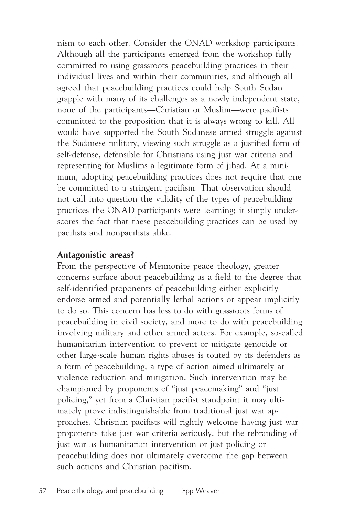nism to each other. Consider the ONAD workshop participants. Although all the participants emerged from the workshop fully committed to using grassroots peacebuilding practices in their individual lives and within their communities, and although all agreed that peacebuilding practices could help South Sudan grapple with many of its challenges as a newly independent state, none of the participants—Christian or Muslim—were pacifists committed to the proposition that it is always wrong to kill. All would have supported the South Sudanese armed struggle against the Sudanese military, viewing such struggle as a justified form of self-defense, defensible for Christians using just war criteria and representing for Muslims a legitimate form of jihad. At a minimum, adopting peacebuilding practices does not require that one be committed to a stringent pacifism. That observation should not call into question the validity of the types of peacebuilding practices the ONAD participants were learning; it simply underscores the fact that these peacebuilding practices can be used by pacifists and nonpacifists alike.

## **Antagonistic areas?**

From the perspective of Mennonite peace theology, greater concerns surface about peacebuilding as a field to the degree that self-identified proponents of peacebuilding either explicitly endorse armed and potentially lethal actions or appear implicitly to do so. This concern has less to do with grassroots forms of peacebuilding in civil society, and more to do with peacebuilding involving military and other armed actors. For example, so-called humanitarian intervention to prevent or mitigate genocide or other large-scale human rights abuses is touted by its defenders as a form of peacebuilding, a type of action aimed ultimately at violence reduction and mitigation. Such intervention may be championed by proponents of "just peacemaking" and "just policing," yet from a Christian pacifist standpoint it may ultimately prove indistinguishable from traditional just war approaches. Christian pacifists will rightly welcome having just war proponents take just war criteria seriously, but the rebranding of just war as humanitarian intervention or just policing or peacebuilding does not ultimately overcome the gap between such actions and Christian pacifism.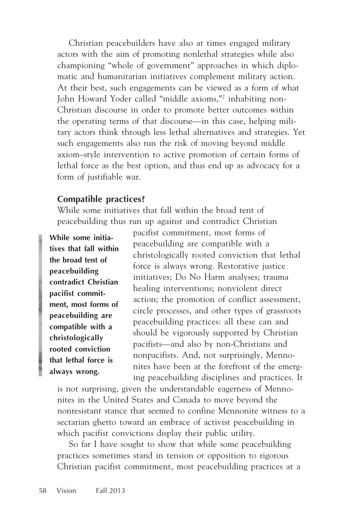Christian peacebuilders have also at times engaged military actors with the aim of promoting nonlethal strategies while also championing "whole of government" approaches in which diplomatic and humanitarian initiatives complement military action. At their best, such engagements can be viewed as a form of what John Howard Yoder called "middle axioms,"2 inhabiting non-Christian discourse in order to promote better outcomes within the operating terms of that discourse—in this case, helping military actors think through less lethal alternatives and strategies. Yet such engagements also run the risk of moving beyond middle axiom–style intervention to active promotion of certain forms of lethal force as the best option, and thus end up as advocacy for a form of justifiable war.

### **Compatible practices?**

While some initiatives that fall within the broad tent of peacebuilding thus run up against and contradict Christian

**While some initiatives that fall within the broad tent of peacebuilding contradict Christian pacifist commitment, most forms of peacebuilding are compatible with a christologically rooted conviction that lethal force is always wrong.**

pacifist commitment, most forms of peacebuilding are compatible with a christologically rooted conviction that lethal force is always wrong. Restorative justice initiatives; Do No Harm analyses; trauma healing interventions; nonviolent direct action; the promotion of conflict assessment, circle processes, and other types of grassroots peacebuilding practices: all these can and should be vigorously supported by Christian pacifists—and also by non-Christians and nonpacifists. And, not surprisingly, Mennonites have been at the forefront of the emerging peacebuilding disciplines and practices. It

is not surprising, given the understandable eagerness of Mennonites in the United States and Canada to move beyond the nonresistant stance that seemed to confine Mennonite witness to a sectarian ghetto toward an embrace of activist peacebuilding in which pacifist convictions display their public utility.

So far I have sought to show that while some peacebuilding practices sometimes stand in tension or opposition to rigorous Christian pacifist commitment, most peacebuilding practices at a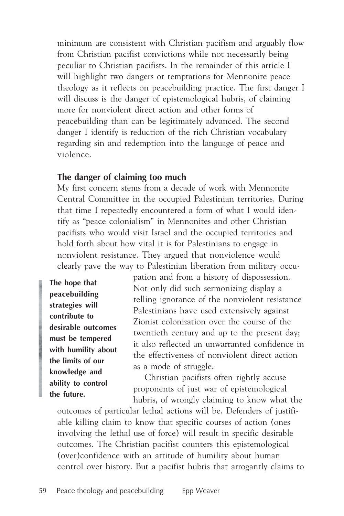minimum are consistent with Christian pacifism and arguably flow from Christian pacifist convictions while not necessarily being peculiar to Christian pacifists. In the remainder of this article I will highlight two dangers or temptations for Mennonite peace theology as it reflects on peacebuilding practice. The first danger I will discuss is the danger of epistemological hubris, of claiming more for nonviolent direct action and other forms of peacebuilding than can be legitimately advanced. The second danger I identify is reduction of the rich Christian vocabulary regarding sin and redemption into the language of peace and violence.

## **The danger of claiming too much**

My first concern stems from a decade of work with Mennonite Central Committee in the occupied Palestinian territories. During that time I repeatedly encountered a form of what I would identify as "peace colonialism" in Mennonites and other Christian pacifists who would visit Israel and the occupied territories and hold forth about how vital it is for Palestinians to engage in nonviolent resistance. They argued that nonviolence would clearly pave the way to Palestinian liberation from military occu-

**The hope that peacebuilding strategies will contribute to desirable outcomes must be tempered with humility about the limits of our knowledge and ability to control the future.**

pation and from a history of dispossession. Not only did such sermonizing display a telling ignorance of the nonviolent resistance Palestinians have used extensively against Zionist colonization over the course of the twentieth century and up to the present day; it also reflected an unwarranted confidence in the effectiveness of nonviolent direct action as a mode of struggle.

Christian pacifists often rightly accuse proponents of just war of epistemological hubris, of wrongly claiming to know what the

outcomes of particular lethal actions will be. Defenders of justifiable killing claim to know that specific courses of action (ones involving the lethal use of force) will result in specific desirable outcomes. The Christian pacifist counters this epistemological (over)confidence with an attitude of humility about human control over history. But a pacifist hubris that arrogantly claims to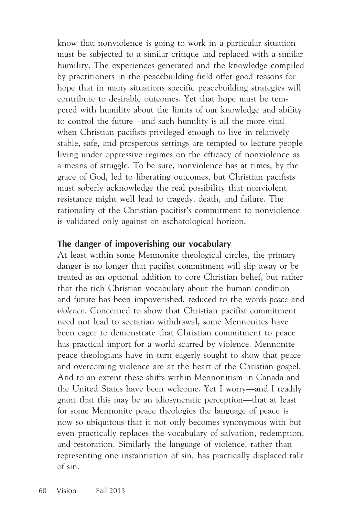know that nonviolence is going to work in a particular situation must be subjected to a similar critique and replaced with a similar humility. The experiences generated and the knowledge compiled by practitioners in the peacebuilding field offer good reasons for hope that in many situations specific peacebuilding strategies will contribute to desirable outcomes. Yet that hope must be tempered with humility about the limits of our knowledge and ability to control the future—and such humility is all the more vital when Christian pacifists privileged enough to live in relatively stable, safe, and prosperous settings are tempted to lecture people living under oppressive regimes on the efficacy of nonviolence as a means of struggle. To be sure, nonviolence has at times, by the grace of God, led to liberating outcomes, but Christian pacifists must soberly acknowledge the real possibility that nonviolent resistance might well lead to tragedy, death, and failure. The rationality of the Christian pacifist's commitment to nonviolence is validated only against an eschatological horizon.

# **The danger of impoverishing our vocabulary**

At least within some Mennonite theological circles, the primary danger is no longer that pacifist commitment will slip away or be treated as an optional addition to core Christian belief, but rather that the rich Christian vocabulary about the human condition and future has been impoverished, reduced to the words *peace* and *violence.* Concerned to show that Christian pacifist commitment need not lead to sectarian withdrawal, some Mennonites have been eager to demonstrate that Christian commitment to peace has practical import for a world scarred by violence. Mennonite peace theologians have in turn eagerly sought to show that peace and overcoming violence are at the heart of the Christian gospel. And to an extent these shifts within Mennonitism in Canada and the United States have been welcome. Yet I worry—and I readily grant that this may be an idiosyncratic perception—that at least for some Mennonite peace theologies the language of peace is now so ubiquitous that it not only becomes synonymous with but even practically replaces the vocabulary of salvation, redemption, and restoration. Similarly the language of violence, rather than representing one instantiation of sin, has practically displaced talk of sin.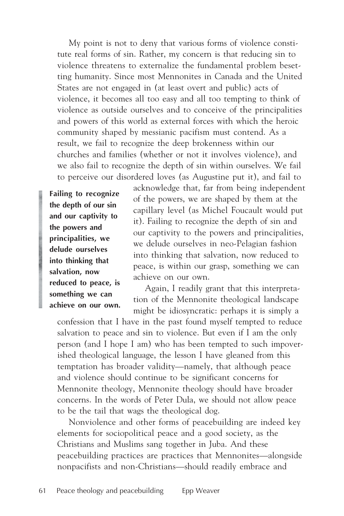My point is not to deny that various forms of violence constitute real forms of sin. Rather, my concern is that reducing sin to violence threatens to externalize the fundamental problem besetting humanity. Since most Mennonites in Canada and the United States are not engaged in (at least overt and public) acts of violence, it becomes all too easy and all too tempting to think of violence as outside ourselves and to conceive of the principalities and powers of this world as external forces with which the heroic community shaped by messianic pacifism must contend. As a result, we fail to recognize the deep brokenness within our churches and families (whether or not it involves violence), and we also fail to recognize the depth of sin within ourselves. We fail to perceive our disordered loves (as Augustine put it), and fail to

**Failing to recognize the depth of our sin and our captivity to the powers and principalities, we delude ourselves into thinking that salvation, now reduced to peace, is something we can achieve on our own.**

acknowledge that, far from being independent of the powers, we are shaped by them at the capillary level (as Michel Foucault would put it). Failing to recognize the depth of sin and our captivity to the powers and principalities, we delude ourselves in neo-Pelagian fashion into thinking that salvation, now reduced to peace, is within our grasp, something we can achieve on our own.

Again, I readily grant that this interpretation of the Mennonite theological landscape might be idiosyncratic: perhaps it is simply a

confession that I have in the past found myself tempted to reduce salvation to peace and sin to violence. But even if I am the only person (and I hope I am) who has been tempted to such impoverished theological language, the lesson I have gleaned from this temptation has broader validity—namely, that although peace and violence should continue to be significant concerns for Mennonite theology, Mennonite theology should have broader concerns. In the words of Peter Dula, we should not allow peace to be the tail that wags the theological dog.

Nonviolence and other forms of peacebuilding are indeed key elements for sociopolitical peace and a good society, as the Christians and Muslims sang together in Juba. And these peacebuilding practices are practices that Mennonites—alongside nonpacifists and non-Christians—should readily embrace and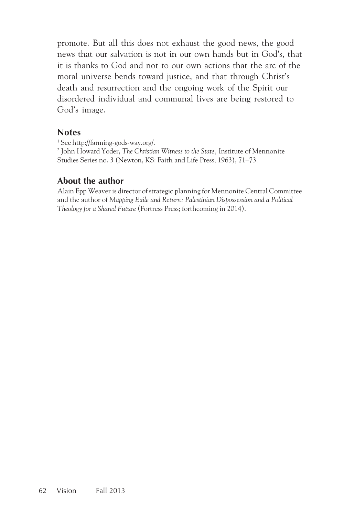promote. But all this does not exhaust the good news, the good news that our salvation is not in our own hands but in God's, that it is thanks to God and not to our own actions that the arc of the moral universe bends toward justice, and that through Christ's death and resurrection and the ongoing work of the Spirit our disordered individual and communal lives are being restored to God's image.

#### **Notes**

1 See http://farming-gods-way.org/. 2 John Howard Yoder, *The Christian Witness to the State,* Institute of Mennonite Studies Series no. 3 (Newton, KS: Faith and Life Press, 1963), 71–73.

# **About the author**

Alain Epp Weaver is director of strategic planning for Mennonite Central Committee and the author of *Mapping Exile and Return: Palestinian Dispossession and a Political Theology for a Shared Future* (Fortress Press; forthcoming in 2014).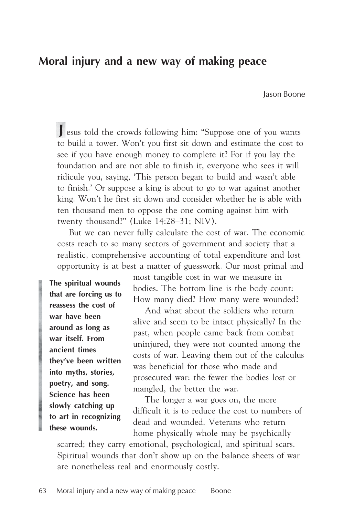# **Moral injury and a new way of making peace**

Jason Boone

 **J** esus told the crowds following him: "Suppose one of you wants to build a tower. Won't you first sit down and estimate the cost to see if you have enough money to complete it? For if you lay the foundation and are not able to finish it, everyone who sees it will ridicule you, saying, 'This person began to build and wasn't able to finish.' Or suppose a king is about to go to war against another king. Won't he first sit down and consider whether he is able with ten thousand men to oppose the one coming against him with twenty thousand?" (Luke 14:28–31; NIV).

But we can never fully calculate the cost of war. The economic costs reach to so many sectors of government and society that a realistic, comprehensive accounting of total expenditure and lost opportunity is at best a matter of guesswork. Our most primal and

**The spiritual wounds that are forcing us to reassess the cost of war have been around as long as war itself. From ancient times they've been written into myths, stories, poetry, and song. Science has been slowly catching up to art in recognizing these wounds.**

most tangible cost in war we measure in bodies. The bottom line is the body count: How many died? How many were wounded?

And what about the soldiers who return alive and seem to be intact physically? In the past, when people came back from combat uninjured, they were not counted among the costs of war. Leaving them out of the calculus was beneficial for those who made and prosecuted war: the fewer the bodies lost or mangled, the better the war.

The longer a war goes on, the more difficult it is to reduce the cost to numbers of dead and wounded. Veterans who return home physically whole may be psychically

scarred; they carry emotional, psychological, and spiritual scars. Spiritual wounds that don't show up on the balance sheets of war are nonetheless real and enormously costly.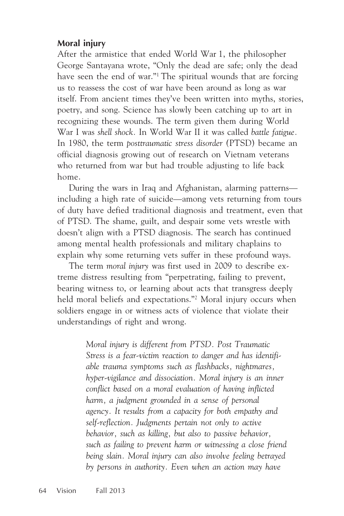# **Moral injury**

After the armistice that ended World War 1, the philosopher George Santayana wrote, "Only the dead are safe; only the dead have seen the end of war."<sup>1</sup> The spiritual wounds that are forcing us to reassess the cost of war have been around as long as war itself. From ancient times they've been written into myths, stories, poetry, and song. Science has slowly been catching up to art in recognizing these wounds. The term given them during World War I was *shell shock.* In World War II it was called *battle fatigue.* In 1980, the term *posttraumatic stress disorder* (PTSD) became an official diagnosis growing out of research on Vietnam veterans who returned from war but had trouble adjusting to life back home.

During the wars in Iraq and Afghanistan, alarming patterns including a high rate of suicide—among vets returning from tours of duty have defied traditional diagnosis and treatment, even that of PTSD. The shame, guilt, and despair some vets wrestle with doesn't align with a PTSD diagnosis. The search has continued among mental health professionals and military chaplains to explain why some returning vets suffer in these profound ways.

The term *moral injury* was first used in 2009 to describe extreme distress resulting from "perpetrating, failing to prevent, bearing witness to, or learning about acts that transgress deeply held moral beliefs and expectations."2 Moral injury occurs when soldiers engage in or witness acts of violence that violate their understandings of right and wrong.

> *Moral injury is different from PTSD. Post Traumatic Stress is a fear-victim reaction to danger and has identifiable trauma symptoms such as flashbacks, nightmares, hyper-vigilance and dissociation. Moral injury is an inner conflict based on a moral evaluation of having inflicted harm, a judgment grounded in a sense of personal agency. It results from a capacity for both empathy and self-reflection. Judgments pertain not only to active behavior, such as killing, but also to passive behavior, such as failing to prevent harm or witnessing a close friend being slain. Moral injury can also involve feeling betrayed by persons in authority. Even when an action may have*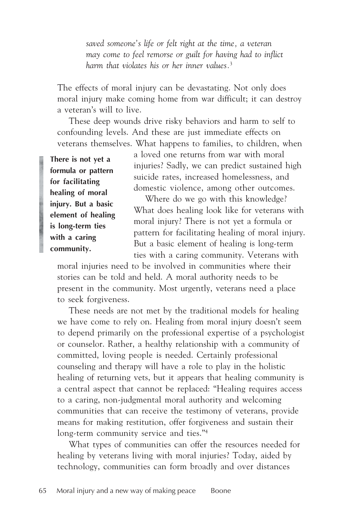*saved someone's life or felt right at the time, a veteran may come to feel remorse or guilt for having had to inflict harm that violates his or her inner values.*<sup>3</sup>

The effects of moral injury can be devastating. Not only does moral injury make coming home from war difficult; it can destroy a veteran's will to live.

These deep wounds drive risky behaviors and harm to self to confounding levels. And these are just immediate effects on veterans themselves. What happens to families, to children, when

**There is not yet a formula or pattern for facilitating healing of moral injury. But a basic element of healing is long-term ties with a caring community.**

a loved one returns from war with moral injuries? Sadly, we can predict sustained high suicide rates, increased homelessness, and domestic violence, among other outcomes.

Where do we go with this knowledge? What does healing look like for veterans with moral injury? There is not yet a formula or pattern for facilitating healing of moral injury. But a basic element of healing is long-term ties with a caring community. Veterans with

moral injuries need to be involved in communities where their stories can be told and held. A moral authority needs to be present in the community. Most urgently, veterans need a place to seek forgiveness.

These needs are not met by the traditional models for healing we have come to rely on. Healing from moral injury doesn't seem to depend primarily on the professional expertise of a psychologist or counselor. Rather, a healthy relationship with a community of committed, loving people is needed. Certainly professional counseling and therapy will have a role to play in the holistic healing of returning vets, but it appears that healing community is a central aspect that cannot be replaced: "Healing requires access to a caring, non-judgmental moral authority and welcoming communities that can receive the testimony of veterans, provide means for making restitution, offer forgiveness and sustain their long-term community service and ties."4

What types of communities can offer the resources needed for healing by veterans living with moral injuries? Today, aided by technology, communities can form broadly and over distances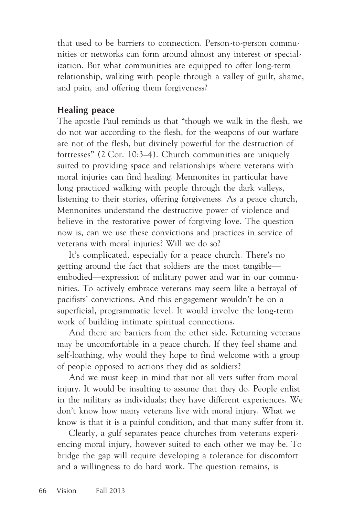that used to be barriers to connection. Person-to-person communities or networks can form around almost any interest or specialization. But what communities are equipped to offer long-term relationship, walking with people through a valley of guilt, shame, and pain, and offering them forgiveness?

# **Healing peace**

The apostle Paul reminds us that "though we walk in the flesh, we do not war according to the flesh, for the weapons of our warfare are not of the flesh, but divinely powerful for the destruction of fortresses" (2 Cor. 10:3–4). Church communities are uniquely suited to providing space and relationships where veterans with moral injuries can find healing. Mennonites in particular have long practiced walking with people through the dark valleys, listening to their stories, offering forgiveness. As a peace church, Mennonites understand the destructive power of violence and believe in the restorative power of forgiving love. The question now is, can we use these convictions and practices in service of veterans with moral injuries? Will we do so?

It's complicated, especially for a peace church. There's no getting around the fact that soldiers are the most tangible embodied—expression of military power and war in our communities. To actively embrace veterans may seem like a betrayal of pacifists' convictions. And this engagement wouldn't be on a superficial, programmatic level. It would involve the long-term work of building intimate spiritual connections.

And there are barriers from the other side. Returning veterans may be uncomfortable in a peace church. If they feel shame and self-loathing, why would they hope to find welcome with a group of people opposed to actions they did as soldiers?

And we must keep in mind that not all vets suffer from moral injury. It would be insulting to assume that they do. People enlist in the military as individuals; they have different experiences. We don't know how many veterans live with moral injury. What we know is that it is a painful condition, and that many suffer from it.

Clearly, a gulf separates peace churches from veterans experiencing moral injury, however suited to each other we may be. To bridge the gap will require developing a tolerance for discomfort and a willingness to do hard work. The question remains, is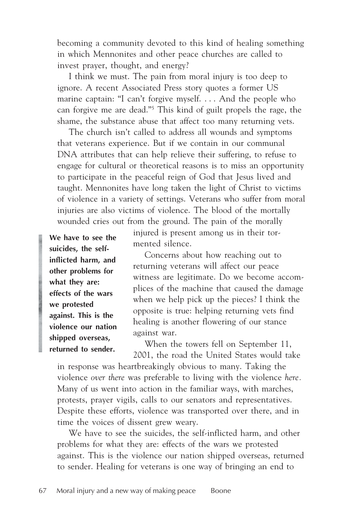becoming a community devoted to this kind of healing something in which Mennonites and other peace churches are called to invest prayer, thought, and energy?

I think we must. The pain from moral injury is too deep to ignore. A recent Associated Press story quotes a former US marine captain: "I can't forgive myself. . . . And the people who can forgive me are dead."5 This kind of guilt propels the rage, the shame, the substance abuse that affect too many returning vets.

The church isn't called to address all wounds and symptoms that veterans experience. But if we contain in our communal DNA attributes that can help relieve their suffering, to refuse to engage for cultural or theoretical reasons is to miss an opportunity to participate in the peaceful reign of God that Jesus lived and taught. Mennonites have long taken the light of Christ to victims of violence in a variety of settings. Veterans who suffer from moral injuries are also victims of violence. The blood of the mortally wounded cries out from the ground. The pain of the morally

**We have to see the suicides, the selfinflicted harm, and other problems for what they are: effects of the wars we protested against. This is the violence our nation shipped overseas, returned to sender.**

injured is present among us in their tormented silence.

Concerns about how reaching out to returning veterans will affect our peace witness are legitimate. Do we become accomplices of the machine that caused the damage when we help pick up the pieces? I think the opposite is true: helping returning vets find healing is another flowering of our stance against war.

When the towers fell on September 11, 2001, the road the United States would take

in response was heartbreakingly obvious to many. Taking the violence *over there* was preferable to living with the violence *here.* Many of us went into action in the familiar ways, with marches, protests, prayer vigils, calls to our senators and representatives. Despite these efforts, violence was transported over there, and in time the voices of dissent grew weary.

We have to see the suicides, the self-inflicted harm, and other problems for what they are: effects of the wars we protested against. This is the violence our nation shipped overseas, returned to sender. Healing for veterans is one way of bringing an end to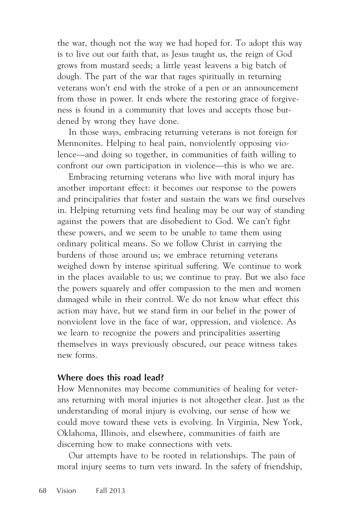the war, though not the way we had hoped for. To adopt this way is to live out our faith that, as Jesus taught us, the reign of God grows from mustard seeds; a little yeast leavens a big batch of dough. The part of the war that rages spiritually in returning veterans won't end with the stroke of a pen or an announcement from those in power. It ends where the restoring grace of forgiveness is found in a community that loves and accepts those burdened by wrong they have done.

In those ways, embracing returning veterans is not foreign for Mennonites. Helping to heal pain, nonviolently opposing violence—and doing so together, in communities of faith willing to confront our own participation in violence—this is who we are.

Embracing returning veterans who live with moral injury has another important effect: it becomes our response to the powers and principalities that foster and sustain the wars we find ourselves in. Helping returning vets find healing may be our way of standing against the powers that are disobedient to God. We can't fight these powers, and we seem to be unable to tame them using ordinary political means. So we follow Christ in carrying the burdens of those around us; we embrace returning veterans weighed down by intense spiritual suffering. We continue to work in the places available to us; we continue to pray. But we also face the powers squarely and offer compassion to the men and women damaged while in their control. We do not know what effect this action may have, but we stand firm in our belief in the power of nonviolent love in the face of war, oppression, and violence. As we learn to recognize the powers and principalities asserting themselves in ways previously obscured, our peace witness takes new forms.

# **Where does this road lead?**

How Mennonites may become communities of healing for veterans returning with moral injuries is not altogether clear. Just as the understanding of moral injury is evolving, our sense of how we could move toward these vets is evolving. In Virginia, New York, Oklahoma, Illinois, and elsewhere, communities of faith are discerning how to make connections with vets.

Our attempts have to be rooted in relationships. The pain of moral injury seems to turn vets inward. In the safety of friendship,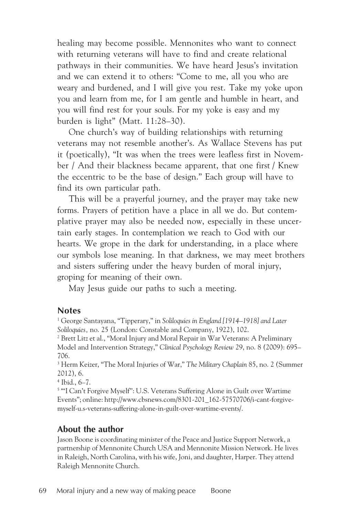healing may become possible. Mennonites who want to connect with returning veterans will have to find and create relational pathways in their communities. We have heard Jesus's invitation and we can extend it to others: "Come to me, all you who are weary and burdened, and I will give you rest. Take my yoke upon you and learn from me, for I am gentle and humble in heart, and you will find rest for your souls. For my yoke is easy and my burden is light" (Matt. 11:28–30).

One church's way of building relationships with returning veterans may not resemble another's. As Wallace Stevens has put it (poetically), "It was when the trees were leafless first in November / And their blackness became apparent, that one first / Knew the eccentric to be the base of design." Each group will have to find its own particular path.

This will be a prayerful journey, and the prayer may take new forms. Prayers of petition have a place in all we do. But contemplative prayer may also be needed now, especially in these uncertain early stages. In contemplation we reach to God with our hearts. We grope in the dark for understanding, in a place where our symbols lose meaning. In that darkness, we may meet brothers and sisters suffering under the heavy burden of moral injury, groping for meaning of their own.

May Jesus guide our paths to such a meeting.

## **Notes**

1 George Santayana, "Tipperary," in *Soliloquies in England [1914–1918] and Later Soliloquies,* no. 25 (London: Constable and Company, 1922), 102.

2 Brett Litz et al., "Moral Injury and Moral Repair in War Veterans: A Preliminary Model and Intervention Strategy," *Clinical Psychology Review* 29, no. 8 (2009): 695– 706.

3 Herm Keizer, "The Moral Injuries of War," *The Military Chaplain* 85, no. 2 (Summer 2012), 6.

4 Ibid., 6–7.

<sup>5</sup> "I Can't Forgive Myself": U.S. Veterans Suffering Alone in Guilt over Wartime Events"; online: http://www.cbsnews.com/8301-201\_162-57570706/i-cant-forgivemyself-u.s-veterans-suffering-alone-in-guilt-over-wartime-events/.

# **About the author**

Jason Boone is coordinating minister of the Peace and Justice Support Network, a partnership of Mennonite Church USA and Mennonite Mission Network. He lives in Raleigh, North Carolina, with his wife, Joni, and daughter, Harper. They attend Raleigh Mennonite Church.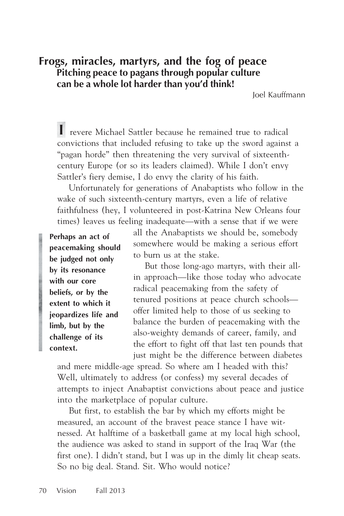# **Frogs, miracles, martyrs, and the fog of peace Pitching peace to pagans through popular culture can be a whole lot harder than you'd think!**

Joel Kauffmann

 **I** revere Michael Sattler because he remained true to radical convictions that included refusing to take up the sword against a "pagan horde" then threatening the very survival of sixteenthcentury Europe (or so its leaders claimed). While I don't envy Sattler's fiery demise, I do envy the clarity of his faith.

Unfortunately for generations of Anabaptists who follow in the wake of such sixteenth-century martyrs, even a life of relative faithfulness (hey, I volunteered in post-Katrina New Orleans four times) leaves us feeling inadequate—with a sense that if we were

**Perhaps an act of peacemaking should be judged not only by its resonance with our core beliefs, or by the extent to which it jeopardizes life and limb, but by the challenge of its context.**

all the Anabaptists we should be, somebody somewhere would be making a serious effort to burn us at the stake.

But those long-ago martyrs, with their allin approach—like those today who advocate radical peacemaking from the safety of tenured positions at peace church schools offer limited help to those of us seeking to balance the burden of peacemaking with the also-weighty demands of career, family, and the effort to fight off that last ten pounds that just might be the difference between diabetes

and mere middle-age spread. So where am I headed with this? Well, ultimately to address (or confess) my several decades of attempts to inject Anabaptist convictions about peace and justice into the marketplace of popular culture.

But first, to establish the bar by which my efforts might be measured, an account of the bravest peace stance I have witnessed. At halftime of a basketball game at my local high school, the audience was asked to stand in support of the Iraq War (the first one). I didn't stand, but I was up in the dimly lit cheap seats. So no big deal. Stand. Sit. Who would notice?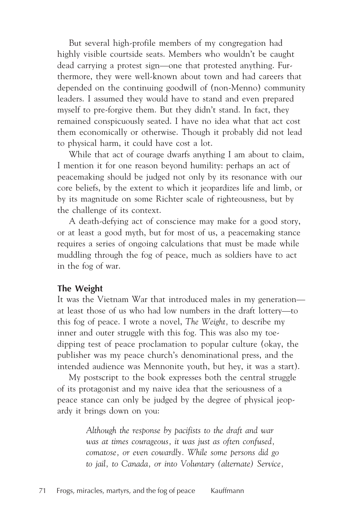But several high-profile members of my congregation had highly visible courtside seats. Members who wouldn't be caught dead carrying a protest sign—one that protested anything. Furthermore, they were well-known about town and had careers that depended on the continuing goodwill of (non-Menno) community leaders. I assumed they would have to stand and even prepared myself to pre-forgive them. But they didn't stand. In fact, they remained conspicuously seated. I have no idea what that act cost them economically or otherwise. Though it probably did not lead to physical harm, it could have cost a lot.

While that act of courage dwarfs anything I am about to claim, I mention it for one reason beyond humility: perhaps an act of peacemaking should be judged not only by its resonance with our core beliefs, by the extent to which it jeopardizes life and limb, or by its magnitude on some Richter scale of righteousness, but by the challenge of its context.

A death-defying act of conscience may make for a good story, or at least a good myth, but for most of us, a peacemaking stance requires a series of ongoing calculations that must be made while muddling through the fog of peace, much as soldiers have to act in the fog of war.

#### **The Weight**

It was the Vietnam War that introduced males in my generation at least those of us who had low numbers in the draft lottery—to this fog of peace. I wrote a novel, *The Weight,* to describe my inner and outer struggle with this fog. This was also my toedipping test of peace proclamation to popular culture (okay, the publisher was my peace church's denominational press, and the intended audience was Mennonite youth, but hey, it was a start).

My postscript to the book expresses both the central struggle of its protagonist and my naive idea that the seriousness of a peace stance can only be judged by the degree of physical jeopardy it brings down on you:

> *Although the response by pacifists to the draft and war was at times courageous, it was just as often confused, comatose, or even cowardly. While some persons did go to jail, to Canada, or into Voluntary (alternate) Service,*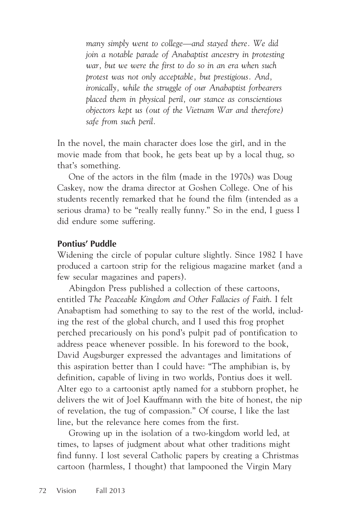*many simply went to college—and stayed there. We did join a notable parade of Anabaptist ancestry in protesting war, but we were the first to do so in an era when such protest was not only acceptable, but prestigious. And, ironically, while the struggle of our Anabaptist forbearers placed them in physical peril, our stance as conscientious objectors kept us (out of the Vietnam War and therefore) safe from such peril.*

In the novel, the main character does lose the girl, and in the movie made from that book, he gets beat up by a local thug, so that's something.

One of the actors in the film (made in the 1970s) was Doug Caskey, now the drama director at Goshen College. One of his students recently remarked that he found the film (intended as a serious drama) to be "really really funny." So in the end, I guess I did endure some suffering.

## **Pontius' Puddle**

Widening the circle of popular culture slightly. Since 1982 I have produced a cartoon strip for the religious magazine market (and a few secular magazines and papers).

Abingdon Press published a collection of these cartoons, entitled *The Peaceable Kingdom and Other Fallacies of Faith*. I felt Anabaptism had something to say to the rest of the world, including the rest of the global church, and I used this frog prophet perched precariously on his pond's pulpit pad of pontification to address peace whenever possible. In his foreword to the book, David Augsburger expressed the advantages and limitations of this aspiration better than I could have: "The amphibian is, by definition, capable of living in two worlds, Pontius does it well. Alter ego to a cartoonist aptly named for a stubborn prophet, he delivers the wit of Joel Kauffmann with the bite of honest, the nip of revelation, the tug of compassion." Of course, I like the last line, but the relevance here comes from the first.

Growing up in the isolation of a two-kingdom world led, at times, to lapses of judgment about what other traditions might find funny. I lost several Catholic papers by creating a Christmas cartoon (harmless, I thought) that lampooned the Virgin Mary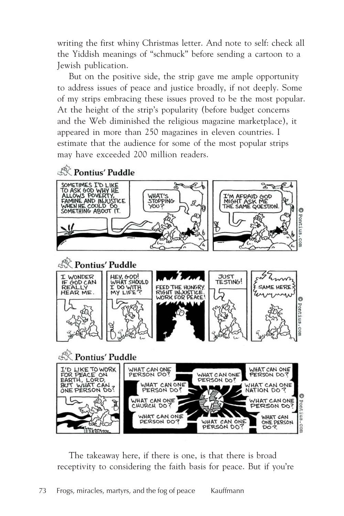writing the first whiny Christmas letter. And note to self: check all the Yiddish meanings of "schmuck" before sending a cartoon to a Jewish publication.

But on the positive side, the strip gave me ample opportunity to address issues of peace and justice broadly, if not deeply. Some of my strips embracing these issues proved to be the most popular. At the height of the strip's popularity (before budget concerns and the Web diminished the religious magazine marketplace), it appeared in more than 250 magazines in eleven countries. I estimate that the audience for some of the most popular strips may have exceeded 200 million readers.



The takeaway here, if there is one, is that there is broad receptivity to considering the faith basis for peace. But if you're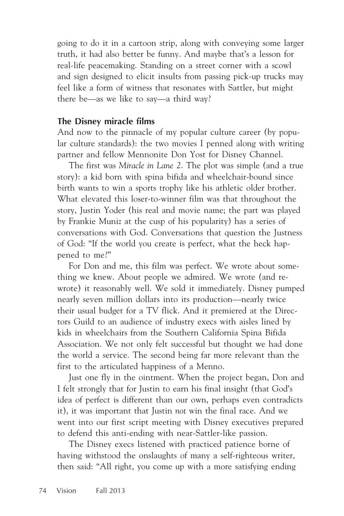going to do it in a cartoon strip, along with conveying some larger truth, it had also better be funny. And maybe that's a lesson for real-life peacemaking. Standing on a street corner with a scowl and sign designed to elicit insults from passing pick-up trucks may feel like a form of witness that resonates with Sattler, but might there be—as we like to say—a third way?

## **The Disney miracle films**

And now to the pinnacle of my popular culture career (by popular culture standards): the two movies I penned along with writing partner and fellow Mennonite Don Yost for Disney Channel.

The first was *Miracle in Lane 2*. The plot was simple (and a true story): a kid born with spina bifida and wheelchair-bound since birth wants to win a sports trophy like his athletic older brother. What elevated this loser-to-winner film was that throughout the story, Justin Yoder (his real and movie name; the part was played by Frankie Muniz at the cusp of his popularity) has a series of conversations with God. Conversations that question the Justness of God: "If the world you create is perfect, what the heck happened to me?"

For Don and me, this film was perfect. We wrote about something we knew. About people we admired. We wrote (and rewrote) it reasonably well. We sold it immediately. Disney pumped nearly seven million dollars into its production—nearly twice their usual budget for a TV flick. And it premiered at the Directors Guild to an audience of industry execs with aisles lined by kids in wheelchairs from the Southern California Spina Bifida Association. We not only felt successful but thought we had done the world a service. The second being far more relevant than the first to the articulated happiness of a Menno.

Just one fly in the ointment. When the project began, Don and I felt strongly that for Justin to earn his final insight (that God's idea of perfect is different than our own, perhaps even contradicts it), it was important that Justin *not* win the final race. And we went into our first script meeting with Disney executives prepared to defend this anti-ending with near-Sattler-like passion.

The Disney execs listened with practiced patience borne of having withstood the onslaughts of many a self-righteous writer, then said: "All right, you come up with a more satisfying ending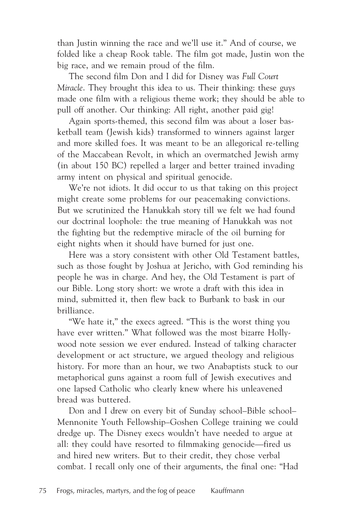than Justin winning the race and we'll use it." And of course, we folded like a cheap Rook table. The film got made, Justin won the big race, and we remain proud of the film.

The second film Don and I did for Disney was *Full Court Miracle*. They brought this idea to us. Their thinking: these guys made one film with a religious theme work; they should be able to pull off another. Our thinking: All right, another paid gig!

Again sports-themed, this second film was about a loser basketball team (Jewish kids) transformed to winners against larger and more skilled foes. It was meant to be an allegorical re-telling of the Maccabean Revolt, in which an overmatched Jewish army (in about 150 BC) repelled a larger and better trained invading army intent on physical and spiritual genocide.

We're not idiots. It did occur to us that taking on this project might create some problems for our peacemaking convictions. But we scrutinized the Hanukkah story till we felt we had found our doctrinal loophole: the true meaning of Hanukkah was not the fighting but the redemptive miracle of the oil burning for eight nights when it should have burned for just one.

Here was a story consistent with other Old Testament battles, such as those fought by Joshua at Jericho, with God reminding his people he was in charge. And hey, the Old Testament is part of our Bible. Long story short: we wrote a draft with this idea in mind, submitted it, then flew back to Burbank to bask in our brilliance.

"We hate it," the execs agreed. "This is the worst thing you have ever written." What followed was the most bizarre Hollywood note session we ever endured. Instead of talking character development or act structure, we argued theology and religious history. For more than an hour, we two Anabaptists stuck to our metaphorical guns against a room full of Jewish executives and one lapsed Catholic who clearly knew where his unleavened bread was buttered.

Don and I drew on every bit of Sunday school–Bible school– Mennonite Youth Fellowship–Goshen College training we could dredge up. The Disney execs wouldn't have needed to argue at all: they could have resorted to filmmaking genocide—fired us and hired new writers. But to their credit, they chose verbal combat. I recall only one of their arguments, the final one: "Had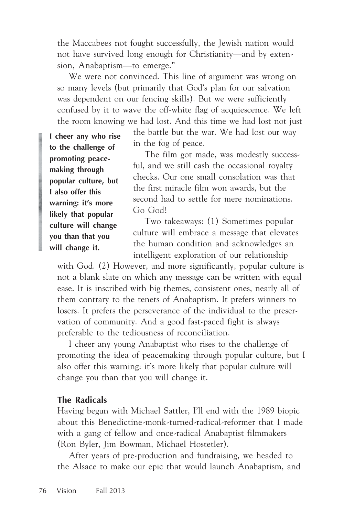the Maccabees not fought successfully, the Jewish nation would not have survived long enough for Christianity—and by extension, Anabaptism—to emerge."

We were not convinced. This line of argument was wrong on so many levels (but primarily that God's plan for our salvation was dependent on our fencing skills). But we were sufficiently confused by it to wave the off-white flag of acquiescence. We left the room knowing we had lost. And this time we had lost not just

**I cheer any who rise to the challenge of promoting peacemaking through popular culture, but I also offer this warning: it's more likely that popular culture will change you than that you will change it.**

the battle but the war. We had lost our way in the fog of peace.

The film got made, was modestly successful, and we still cash the occasional royalty checks. Our one small consolation was that the first miracle film won awards, but the second had to settle for mere nominations. Go God!

Two takeaways: (1) Sometimes popular culture will embrace a message that elevates the human condition and acknowledges an intelligent exploration of our relationship

with God. (2) However, and more significantly, popular culture is not a blank slate on which any message can be written with equal ease. It is inscribed with big themes, consistent ones, nearly all of them contrary to the tenets of Anabaptism. It prefers winners to losers. It prefers the perseverance of the individual to the preservation of community. And a good fast-paced fight is always preferable to the tediousness of reconciliation.

I cheer any young Anabaptist who rises to the challenge of promoting the idea of peacemaking through popular culture, but I also offer this warning: it's more likely that popular culture will change you than that you will change it.

## **The Radicals**

Having begun with Michael Sattler, I'll end with the 1989 biopic about this Benedictine-monk-turned-radical-reformer that I made with a gang of fellow and once-radical Anabaptist filmmakers (Ron Byler, Jim Bowman, Michael Hostetler).

After years of pre-production and fundraising, we headed to the Alsace to make our epic that would launch Anabaptism, and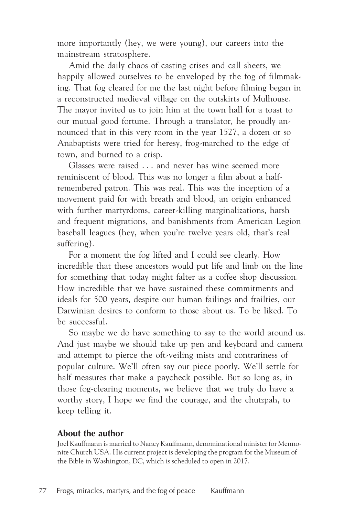more importantly (hey, we were young), our careers into the mainstream stratosphere.

Amid the daily chaos of casting crises and call sheets, we happily allowed ourselves to be enveloped by the fog of filmmaking. That fog cleared for me the last night before filming began in a reconstructed medieval village on the outskirts of Mulhouse. The mayor invited us to join him at the town hall for a toast to our mutual good fortune. Through a translator, he proudly announced that in this very room in the year 1527, a dozen or so Anabaptists were tried for heresy, frog-marched to the edge of town, and burned to a crisp.

Glasses were raised . . . and never has wine seemed more reminiscent of blood. This was no longer a film about a halfremembered patron. This was real. This was the inception of a movement paid for with breath and blood, an origin enhanced with further martyrdoms, career-killing marginalizations, harsh and frequent migrations, and banishments from American Legion baseball leagues (hey, when you're twelve years old, that's real suffering).

For a moment the fog lifted and I could see clearly. How incredible that these ancestors would put life and limb on the line for something that today might falter as a coffee shop discussion. How incredible that we have sustained these commitments and ideals for 500 years, despite our human failings and frailties, our Darwinian desires to conform to those about us. To be liked. To be successful.

So maybe we do have something to say to the world around us. And just maybe we should take up pen and keyboard and camera and attempt to pierce the oft-veiling mists and contrariness of popular culture. We'll often say our piece poorly. We'll settle for half measures that make a paycheck possible. But so long as, in those fog-clearing moments, we believe that we truly do have a worthy story, I hope we find the courage, and the chutzpah, to keep telling it.

### **About the author**

Joel Kauffmann is married to Nancy Kauffmann, denominational minister for Mennonite Church USA. His current project is developing the program for the Museum of the Bible in Washington, DC, which is scheduled to open in 2017.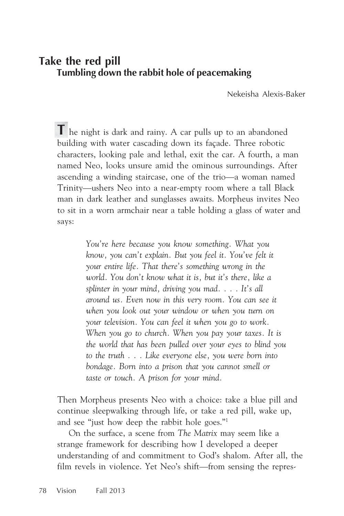# **Take the red pill Tumbling down the rabbit hole of peacemaking**

Nekeisha Alexis-Baker

**T** he night is dark and rainy. A car pulls up to an abandoned building with water cascading down its façade. Three robotic characters, looking pale and lethal, exit the car. A fourth, a man named Neo, looks unsure amid the ominous surroundings. After ascending a winding staircase, one of the trio—a woman named Trinity—ushers Neo into a near-empty room where a tall Black man in dark leather and sunglasses awaits. Morpheus invites Neo to sit in a worn armchair near a table holding a glass of water and says:

> *You're here because you know something. What you know, you can't explain. But you feel it. You've felt it your entire life. That there's something wrong in the world. You don't know what it is, but it's there, like a splinter in your mind, driving you mad. . . . It's all around us. Even now in this very room. You can see it when you look out your window or when you turn on your television. You can feel it when you go to work. When you go to church. When you pay your taxes. It is the world that has been pulled over your eyes to blind you to the truth . . . Like everyone else, you were born into bondage. Born into a prison that you cannot smell or taste or touch. A prison for your mind.*

Then Morpheus presents Neo with a choice: take a blue pill and continue sleepwalking through life, or take a red pill, wake up, and see "just how deep the rabbit hole goes."1

On the surface, a scene from *The Matrix* may seem like a strange framework for describing how I developed a deeper understanding of and commitment to God's shalom. After all, the film revels in violence. Yet Neo's shift—from sensing the repres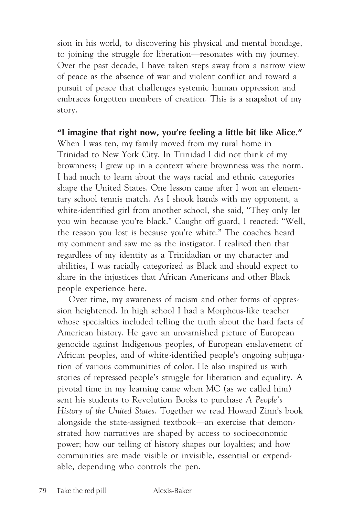sion in his world, to discovering his physical and mental bondage, to joining the struggle for liberation—resonates with my journey. Over the past decade, I have taken steps away from a narrow view of peace as the absence of war and violent conflict and toward a pursuit of peace that challenges systemic human oppression and embraces forgotten members of creation. This is a snapshot of my story.

**"I imagine that right now, you're feeling a little bit like Alice."** When I was ten, my family moved from my rural home in Trinidad to New York City. In Trinidad I did not think of my brownness; I grew up in a context where brownness was the norm. I had much to learn about the ways racial and ethnic categories shape the United States. One lesson came after I won an elementary school tennis match. As I shook hands with my opponent, a white-identified girl from another school, she said, "They only let you win because you're black." Caught off guard, I reacted: "Well, the reason you lost is because you're white." The coaches heard my comment and saw me as the instigator. I realized then that regardless of my identity as a Trinidadian or my character and abilities, I was racially categorized as Black and should expect to share in the injustices that African Americans and other Black people experience here.

Over time, my awareness of racism and other forms of oppression heightened. In high school I had a Morpheus-like teacher whose specialties included telling the truth about the hard facts of American history. He gave an unvarnished picture of European genocide against Indigenous peoples, of European enslavement of African peoples, and of white-identified people's ongoing subjugation of various communities of color. He also inspired us with stories of repressed people's struggle for liberation and equality. A pivotal time in my learning came when MC (as we called him) sent his students to Revolution Books to purchase *A People's History of the United States*. Together we read Howard Zinn's book alongside the state-assigned textbook—an exercise that demonstrated how narratives are shaped by access to socioeconomic power; how our telling of history shapes our loyalties; and how communities are made visible or invisible, essential or expendable, depending who controls the pen.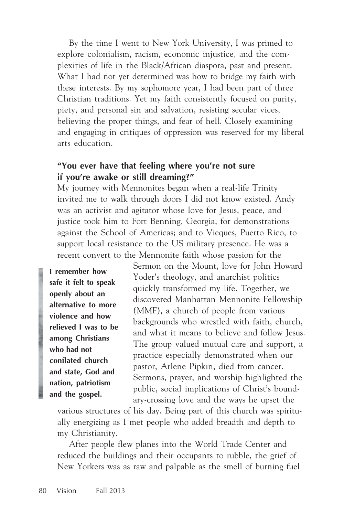By the time I went to New York University, I was primed to explore colonialism, racism, economic injustice, and the complexities of life in the Black/African diaspora, past and present. What I had not yet determined was how to bridge my faith with these interests. By my sophomore year, I had been part of three Christian traditions. Yet my faith consistently focused on purity, piety, and personal sin and salvation, resisting secular vices, believing the proper things, and fear of hell. Closely examining and engaging in critiques of oppression was reserved for my liberal arts education.

## **"You ever have that feeling where you're not sure if you're awake or still dreaming?"**

My journey with Mennonites began when a real-life Trinity invited me to walk through doors I did not know existed. Andy was an activist and agitator whose love for Jesus, peace, and justice took him to Fort Benning, Georgia, for demonstrations against the School of Americas; and to Vieques, Puerto Rico, to support local resistance to the US military presence. He was a recent convert to the Mennonite faith whose passion for the

**I remember how safe it felt to speak openly about an alternative to more violence and how relieved I was to be among Christians who had not conflated church and state, God and nation, patriotism and the gospel.**

Sermon on the Mount, love for John Howard Yoder's theology, and anarchist politics quickly transformed my life. Together, we discovered Manhattan Mennonite Fellowship (MMF), a church of people from various backgrounds who wrestled with faith, church, and what it means to believe and follow Jesus. The group valued mutual care and support, a practice especially demonstrated when our pastor, Arlene Pipkin, died from cancer. Sermons, prayer, and worship highlighted the public, social implications of Christ's boundary-crossing love and the ways he upset the

various structures of his day. Being part of this church was spiritually energizing as I met people who added breadth and depth to my Christianity.

After people flew planes into the World Trade Center and reduced the buildings and their occupants to rubble, the grief of New Yorkers was as raw and palpable as the smell of burning fuel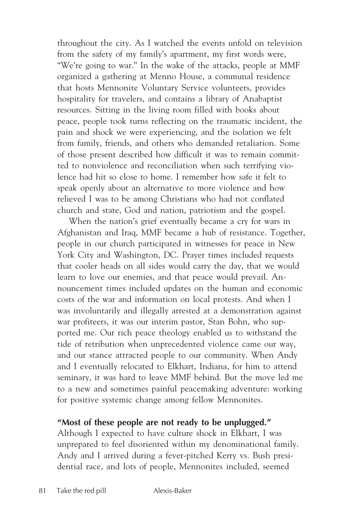throughout the city. As I watched the events unfold on television from the safety of my family's apartment, my first words were, "We're going to war." In the wake of the attacks, people at MMF organized a gathering at Menno House, a communal residence that hosts Mennonite Voluntary Service volunteers, provides hospitality for travelers, and contains a library of Anabaptist resources. Sitting in the living room filled with books about peace, people took turns reflecting on the traumatic incident, the pain and shock we were experiencing, and the isolation we felt from family, friends, and others who demanded retaliation. Some of those present described how difficult it was to remain committed to nonviolence and reconciliation when such terrifying violence had hit so close to home. I remember how safe it felt to speak openly about an alternative to more violence and how relieved I was to be among Christians who had not conflated church and state, God and nation, patriotism and the gospel.

When the nation's grief eventually became a cry for wars in Afghanistan and Iraq, MMF became a hub of resistance. Together, people in our church participated in witnesses for peace in New York City and Washington, DC. Prayer times included requests that cooler heads on all sides would carry the day, that we would learn to love our enemies, and that peace would prevail. Announcement times included updates on the human and economic costs of the war and information on local protests. And when I was involuntarily and illegally arrested at a demonstration against war profiteers, it was our interim pastor, Stan Bohn, who supported me. Our rich peace theology enabled us to withstand the tide of retribution when unprecedented violence came our way, and our stance attracted people to our community. When Andy and I eventually relocated to Elkhart, Indiana, for him to attend seminary, it was hard to leave MMF behind. But the move led me to a new and sometimes painful peacemaking adventure: working for positive systemic change among fellow Mennonites.

### **"Most of these people are not ready to be unplugged."**

Although I expected to have culture shock in Elkhart, I was unprepared to feel disoriented within my denominational family. Andy and I arrived during a fever-pitched Kerry vs. Bush presidential race, and lots of people, Mennonites included, seemed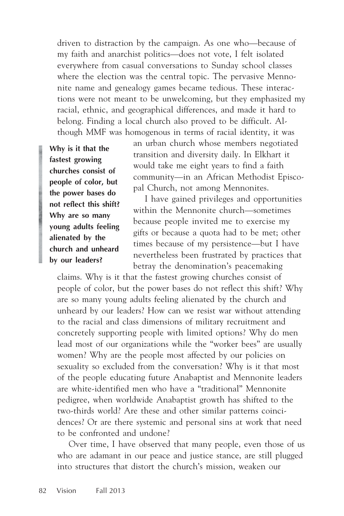driven to distraction by the campaign. As one who—because of my faith and anarchist politics—does not vote, I felt isolated everywhere from casual conversations to Sunday school classes where the election was the central topic. The pervasive Mennonite name and genealogy games became tedious. These interactions were not meant to be unwelcoming, but they emphasized my racial, ethnic, and geographical differences, and made it hard to belong. Finding a local church also proved to be difficult. Although MMF was homogenous in terms of racial identity, it was

**Why is it that the fastest growing churches consist of people of color, but the power bases do not reflect this shift? Why are so many young adults feeling alienated by the church and unheard by our leaders?**

an urban church whose members negotiated transition and diversity daily. In Elkhart it would take me eight years to find a faith community—in an African Methodist Episcopal Church, not among Mennonites.

I have gained privileges and opportunities within the Mennonite church—sometimes because people invited me to exercise my gifts or because a quota had to be met; other times because of my persistence—but I have nevertheless been frustrated by practices that betray the denomination's peacemaking

claims. Why is it that the fastest growing churches consist of people of color, but the power bases do not reflect this shift? Why are so many young adults feeling alienated by the church and unheard by our leaders? How can we resist war without attending to the racial and class dimensions of military recruitment and concretely supporting people with limited options? Why do men lead most of our organizations while the "worker bees" are usually women? Why are the people most affected by our policies on sexuality so excluded from the conversation? Why is it that most of the people educating future Anabaptist and Mennonite leaders are white-identified men who have a "traditional" Mennonite pedigree, when worldwide Anabaptist growth has shifted to the two-thirds world? Are these and other similar patterns coincidences? Or are there systemic and personal sins at work that need to be confronted and undone?

Over time, I have observed that many people, even those of us who are adamant in our peace and justice stance, are still plugged into structures that distort the church's mission, weaken our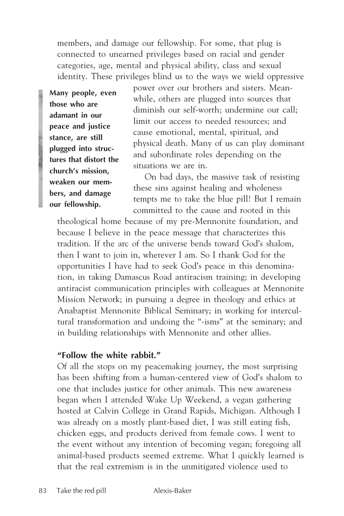members, and damage our fellowship. For some, that plug is connected to unearned privileges based on racial and gender categories, age, mental and physical ability, class and sexual identity. These privileges blind us to the ways we wield oppressive

**Many people, even those who are adamant in our peace and justice stance, are still plugged into structures that distort the church's mission, weaken our members, and damage our fellowship.**

power over our brothers and sisters. Meanwhile, others are plugged into sources that diminish our self-worth; undermine our call; limit our access to needed resources; and cause emotional, mental, spiritual, and physical death. Many of us can play dominant and subordinate roles depending on the situations we are in.

On bad days, the massive task of resisting these sins against healing and wholeness tempts me to take the blue pill! But I remain committed to the cause and rooted in this

theological home because of my pre-Mennonite foundation, and because I believe in the peace message that characterizes this tradition. If the arc of the universe bends toward God's shalom, then I want to join in, wherever I am. So I thank God for the opportunities I have had to seek God's peace in this denomination, in taking Damascus Road antiracism training; in developing antiracist communication principles with colleagues at Mennonite Mission Network; in pursuing a degree in theology and ethics at Anabaptist Mennonite Biblical Seminary; in working for intercultural transformation and undoing the "-isms" at the seminary; and in building relationships with Mennonite and other allies.

## **"Follow the white rabbit."**

Of all the stops on my peacemaking journey, the most surprising has been shifting from a human-centered view of God's shalom to one that includes justice for other animals. This new awareness began when I attended Wake Up Weekend, a vegan gathering hosted at Calvin College in Grand Rapids, Michigan. Although I was already on a mostly plant-based diet, I was still eating fish, chicken eggs, and products derived from female cows. I went to the event without any intention of becoming vegan; foregoing all animal-based products seemed extreme. What I quickly learned is that the real extremism is in the unmitigated violence used to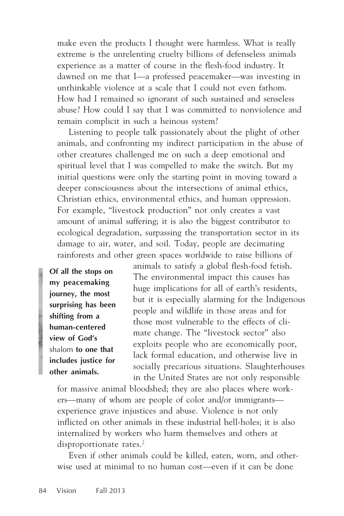make even the products I thought were harmless. What is really extreme is the unrelenting cruelty billions of defenseless animals experience as a matter of course in the flesh-food industry. It dawned on me that I—a professed peacemaker—was investing in unthinkable violence at a scale that I could not even fathom. How had I remained so ignorant of such sustained and senseless abuse? How could I say that I was committed to nonviolence and remain complicit in such a heinous system?

Listening to people talk passionately about the plight of other animals, and confronting my indirect participation in the abuse of other creatures challenged me on such a deep emotional and spiritual level that I was compelled to make the switch. But my initial questions were only the starting point in moving toward a deeper consciousness about the intersections of animal ethics, Christian ethics, environmental ethics, and human oppression. For example, "livestock production" not only creates a vast amount of animal suffering; it is also the biggest contributor to ecological degradation, surpassing the transportation sector in its damage to air, water, and soil. Today, people are decimating rainforests and other green spaces worldwide to raise billions of

**Of all the stops on my peacemaking journey, the most surprising has been shifting from a human-centered view of God's** shalom **to one that includes justice for other animals.**

animals to satisfy a global flesh-food fetish. The environmental impact this causes has huge implications for all of earth's residents, but it is especially alarming for the Indigenous people and wildlife in those areas and for those most vulnerable to the effects of climate change. The "livestock sector" also exploits people who are economically poor, lack formal education, and otherwise live in socially precarious situations. Slaughterhouses in the United States are not only responsible

for massive animal bloodshed; they are also places where workers—many of whom are people of color and/or immigrants experience grave injustices and abuse. Violence is not only inflicted on other animals in these industrial hell-holes; it is also internalized by workers who harm themselves and others at disproportionate rates.<sup>2</sup>

Even if other animals could be killed, eaten, worn, and otherwise used at minimal to no human cost—even if it can be done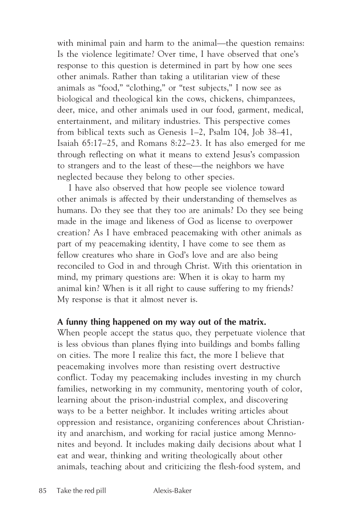with minimal pain and harm to the animal—the question remains: Is the violence legitimate? Over time, I have observed that one's response to this question is determined in part by how one sees other animals. Rather than taking a utilitarian view of these animals as "food," "clothing," or "test subjects," I now see as biological and theological kin the cows, chickens, chimpanzees, deer, mice, and other animals used in our food, garment, medical, entertainment, and military industries. This perspective comes from biblical texts such as Genesis 1–2, Psalm 104, Job 38–41, Isaiah 65:17–25, and Romans 8:22–23. It has also emerged for me through reflecting on what it means to extend Jesus's compassion to strangers and to the least of these—the neighbors we have neglected because they belong to other species.

I have also observed that how people see violence toward other animals is affected by their understanding of themselves as humans. Do they see that they too are animals? Do they see being made in the image and likeness of God as license to overpower creation? As I have embraced peacemaking with other animals as part of my peacemaking identity, I have come to see them as fellow creatures who share in God's love and are also being reconciled to God in and through Christ. With this orientation in mind, my primary questions are: When it is okay to harm my animal kin? When is it all right to cause suffering to my friends? My response is that it almost never is.

## **A funny thing happened on my way out of the matrix.**

When people accept the status quo, they perpetuate violence that is less obvious than planes flying into buildings and bombs falling on cities. The more I realize this fact, the more I believe that peacemaking involves more than resisting overt destructive conflict. Today my peacemaking includes investing in my church families, networking in my community, mentoring youth of color, learning about the prison-industrial complex, and discovering ways to be a better neighbor. It includes writing articles about oppression and resistance, organizing conferences about Christianity and anarchism, and working for racial justice among Mennonites and beyond. It includes making daily decisions about what I eat and wear, thinking and writing theologically about other animals, teaching about and criticizing the flesh-food system, and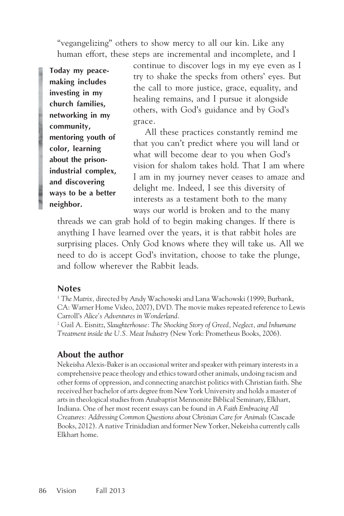"vegangelizing" others to show mercy to all our kin. Like any human effort, these steps are incremental and incomplete, and I

**Today my peacemaking includes investing in my church families, networking in my community, mentoring youth of color, learning about the prisonindustrial complex, and discovering ways to be a better neighbor.**

continue to discover logs in my eye even as I try to shake the specks from others' eyes. But the call to more justice, grace, equality, and healing remains, and I pursue it alongside others, with God's guidance and by God's grace.

All these practices constantly remind me that you can't predict where you will land or what will become dear to you when God's vision for shalom takes hold. That I am where I am in my journey never ceases to amaze and delight me. Indeed, I see this diversity of interests as a testament both to the many ways our world is broken and to the many

threads we can grab hold of to begin making changes. If there is anything I have learned over the years, it is that rabbit holes are surprising places. Only God knows where they will take us. All we need to do is accept God's invitation, choose to take the plunge, and follow wherever the Rabbit leads.

#### **Notes**

<sup>1</sup> The Matrix, directed by Andy Wachowski and Lana Wachowski (1999; Burbank, CA: Warner Home Video, 2007), DVD. The movie makes repeated reference to Lewis Carroll's *Alice's Adventures in Wonderland.*

2 Gail A. Eisnitz, *Slaughterhouse: The Shocking Story of Greed, Neglect, and Inhumane Treatment inside the U.S. Meat Industry* (New York: Prometheus Books, 2006).

#### **About the author**

Nekeisha Alexis-Baker is an occasional writer and speaker with primary interests in a comprehensive peace theology and ethics toward other animals, undoing racism and other forms of oppression, and connecting anarchist politics with Christian faith. She received her bachelor of arts degree from New York University and holds a master of arts in theological studies from Anabaptist Mennonite Biblical Seminary, Elkhart, Indiana. One of her most recent essays can be found in *A Faith Embracing All Creatures: Addressing Common Questions about Christian Care for Animals* (Cascade Books, 2012). A native Trinidadian and former New Yorker, Nekeisha currently calls Elkhart home.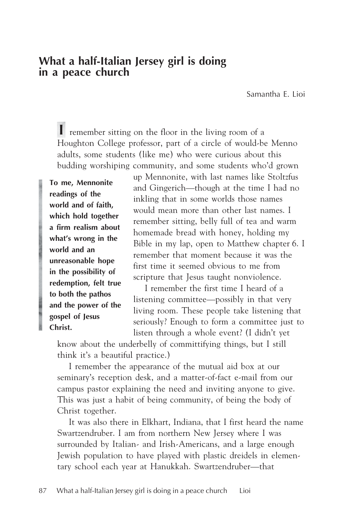# **What a half-Italian Jersey girl is doing in a peace church**

Samantha E. Lioi

 **I** remember sitting on the floor in the living room of a Houghton College professor, part of a circle of would-be Menno adults, some students (like me) who were curious about this budding worshiping community, and some students who'd grown

**To me, Mennonite readings of the world and of faith, which hold together a firm realism about what's wrong in the world and an unreasonable hope in the possibility of redemption, felt true to both the pathos and the power of the gospel of Jesus Christ.**

up Mennonite, with last names like Stoltzfus and Gingerich—though at the time I had no inkling that in some worlds those names would mean more than other last names. I remember sitting, belly full of tea and warm homemade bread with honey, holding my Bible in my lap, open to Matthew chapter 6. I remember that moment because it was the first time it seemed obvious to me from scripture that Jesus taught nonviolence.

I remember the first time I heard of a listening committee—possibly in that very living room. These people take listening that seriously? Enough to form a committee just to listen through a whole event? (I didn't yet

know about the underbelly of committifying things, but I still think it's a beautiful practice.)

I remember the appearance of the mutual aid box at our seminary's reception desk, and a matter-of-fact e-mail from our campus pastor explaining the need and inviting anyone to give. This was just a habit of being community, of being the body of Christ together.

It was also there in Elkhart, Indiana, that I first heard the name Swartzendruber. I am from northern New Jersey where I was surrounded by Italian- and Irish-Americans, and a large enough Jewish population to have played with plastic dreidels in elementary school each year at Hanukkah. Swartzendruber—that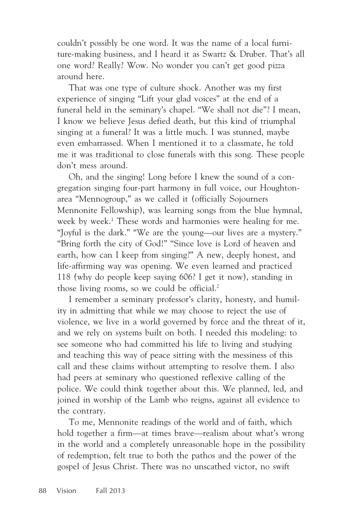couldn't possibly be one word. It was the name of a local furniture-making business, and I heard it as Swartz & Druber. That's all one word? Really? Wow. No wonder you can't get good pizza around here.

That was one type of culture shock. Another was my first experience of singing "Lift your glad voices" at the end of a funeral held in the seminary's chapel. "We shall not die"? I mean, I know we believe Jesus defied death, but this kind of triumphal singing at a funeral? It was a little much. I was stunned, maybe even embarrassed. When I mentioned it to a classmate, he told me it was traditional to close funerals with this song. These people don't mess around.

Oh, and the singing! Long before I knew the sound of a congregation singing four-part harmony in full voice, our Houghtonarea "Mennogroup," as we called it (officially Sojourners Mennonite Fellowship), was learning songs from the blue hymnal, week by week.<sup>1</sup> These words and harmonies were healing for me. "Joyful is the dark." "We are the young—our lives are a mystery." "Bring forth the city of God!" "Since love is Lord of heaven and earth, how can I keep from singing?" A new, deeply honest, and life-affirming way was opening. We even learned and practiced 118 (why do people keep saying 606? I get it now), standing in those living rooms, so we could be official.<sup>2</sup>

I remember a seminary professor's clarity, honesty, and humility in admitting that while we may choose to reject the use of violence, we live in a world governed by force and the threat of it, and we rely on systems built on both. I needed this modeling: to see someone who had committed his life to living and studying and teaching this way of peace sitting with the messiness of this call and these claims without attempting to resolve them. I also had peers at seminary who questioned reflexive calling of the police. We could think together about this. We planned, led, and joined in worship of the Lamb who reigns, against all evidence to the contrary.

To me, Mennonite readings of the world and of faith, which hold together a firm—at times brave—realism about what's wrong in the world and a completely unreasonable hope in the possibility of redemption, felt true to both the pathos and the power of the gospel of Jesus Christ. There was no unscathed victor, no swift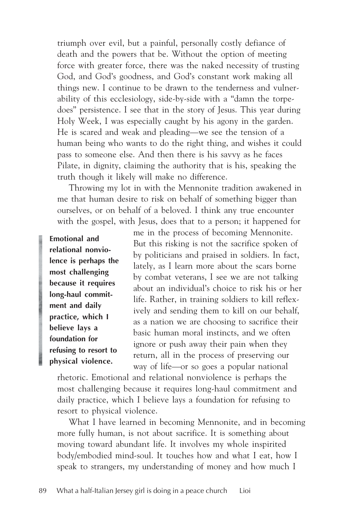triumph over evil, but a painful, personally costly defiance of death and the powers that be. Without the option of meeting force with greater force, there was the naked necessity of trusting God, and God's goodness, and God's constant work making all things new. I continue to be drawn to the tenderness and vulnerability of this ecclesiology, side-by-side with a "damn the torpedoes" persistence. I see that in the story of Jesus. This year during Holy Week, I was especially caught by his agony in the garden. He is scared and weak and pleading—we see the tension of a human being who wants to do the right thing, and wishes it could pass to someone else. And then there is his savvy as he faces Pilate, in dignity, claiming the authority that is his, speaking the truth though it likely will make no difference.

Throwing my lot in with the Mennonite tradition awakened in me that human desire to risk on behalf of something bigger than ourselves, or on behalf of a beloved. I think any true encounter with the gospel, with Jesus, does that to a person; it happened for

**Emotional and relational nonviolence is perhaps the most challenging because it requires long-haul commitment and daily practice, which I believe lays a foundation for refusing to resort to physical violence.**

me in the process of becoming Mennonite. But this risking is not the sacrifice spoken of by politicians and praised in soldiers. In fact, lately, as I learn more about the scars borne by combat veterans, I see we are not talking about an individual's choice to risk his or her life. Rather, in training soldiers to kill reflexively and sending them to kill on our behalf, as a nation we are choosing to sacrifice their basic human moral instincts, and we often ignore or push away their pain when they return, all in the process of preserving our way of life—or so goes a popular national

rhetoric. Emotional and relational nonviolence is perhaps the most challenging because it requires long-haul commitment and daily practice, which I believe lays a foundation for refusing to resort to physical violence.

What I have learned in becoming Mennonite, and in becoming more fully human, is not about sacrifice. It is something about moving toward abundant life. It involves my whole inspirited body/embodied mind-soul. It touches how and what I eat, how I speak to strangers, my understanding of money and how much I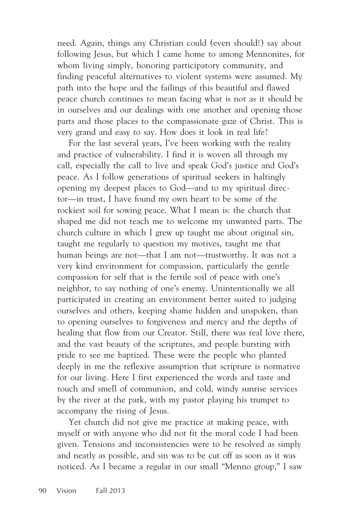need. Again, things any Christian could (even should!) say about following Jesus, but which I came home to among Mennonites, for whom living simply, honoring participatory community, and finding peaceful alternatives to violent systems were assumed. My path into the hope and the failings of this beautiful and flawed peace church continues to mean facing what is not as it should be in ourselves and our dealings with one another and opening those parts and those places to the compassionate gaze of Christ. This is very grand and easy to say. How does it look in real life?

For the last several years, I've been working with the reality and practice of vulnerability. I find it is woven all through my call, especially the call to live and speak God's justice and God's peace. As I follow generations of spiritual seekers in haltingly opening my deepest places to God—and to my spiritual director—in trust, I have found my own heart to be some of the rockiest soil for sowing peace. What I mean is: the church that shaped me did not teach me to welcome my unwanted parts. The church culture in which I grew up taught me about original sin, taught me regularly to question my motives, taught me that human beings are not—that I am not—trustworthy. It was not a very kind environment for compassion, particularly the gentle compassion for self that is the fertile soil of peace with one's neighbor, to say nothing of one's enemy. Unintentionally we all participated in creating an environment better suited to judging ourselves and others, keeping shame hidden and unspoken, than to opening ourselves to forgiveness and mercy and the depths of healing that flow from our Creator. Still, there was real love there, and the vast beauty of the scriptures, and people bursting with pride to see me baptized. These were the people who planted deeply in me the reflexive assumption that scripture is normative for our living. Here I first experienced the words and taste and touch and smell of communion, and cold, windy sunrise services by the river at the park, with my pastor playing his trumpet to accompany the rising of Jesus.

Yet church did not give me practice at making peace, with myself or with anyone who did not fit the moral code I had been given. Tensions and inconsistencies were to be resolved as simply and neatly as possible, and sin was to be cut off as soon as it was noticed. As I became a regular in our small "Menno group," I saw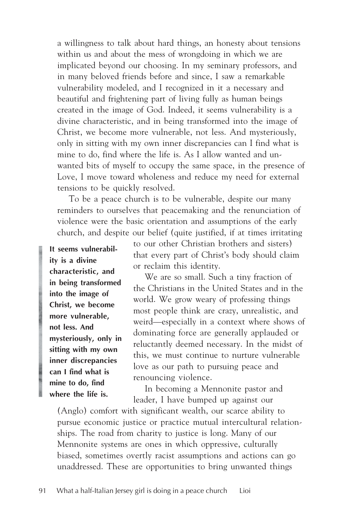a willingness to talk about hard things, an honesty about tensions within us and about the mess of wrongdoing in which we are implicated beyond our choosing. In my seminary professors, and in many beloved friends before and since, I saw a remarkable vulnerability modeled, and I recognized in it a necessary and beautiful and frightening part of living fully as human beings created in the image of God. Indeed, it seems vulnerability is a divine characteristic, and in being transformed into the image of Christ, we become more vulnerable, not less. And mysteriously, only in sitting with my own inner discrepancies can I find what is mine to do, find where the life is. As I allow wanted and unwanted bits of myself to occupy the same space, in the presence of Love, I move toward wholeness and reduce my need for external tensions to be quickly resolved.

To be a peace church is to be vulnerable, despite our many reminders to ourselves that peacemaking and the renunciation of violence were the basic orientation and assumptions of the early church, and despite our belief (quite justified, if at times irritating

**It seems vulnerability is a divine characteristic, and in being transformed into the image of Christ, we become more vulnerable, not less. And mysteriously, only in sitting with my own inner discrepancies can I find what is mine to do, find where the life is.**

to our other Christian brothers and sisters) that every part of Christ's body should claim or reclaim this identity.

We are so small. Such a tiny fraction of the Christians in the United States and in the world. We grow weary of professing things most people think are crazy, unrealistic, and weird—especially in a context where shows of dominating force are generally applauded or reluctantly deemed necessary. In the midst of this, we must continue to nurture vulnerable love as our path to pursuing peace and renouncing violence.

In becoming a Mennonite pastor and leader, I have bumped up against our

(Anglo) comfort with significant wealth, our scarce ability to pursue economic justice or practice mutual intercultural relationships. The road from charity to justice is long. Many of our Mennonite systems are ones in which oppressive, culturally biased, sometimes overtly racist assumptions and actions can go unaddressed. These are opportunities to bring unwanted things